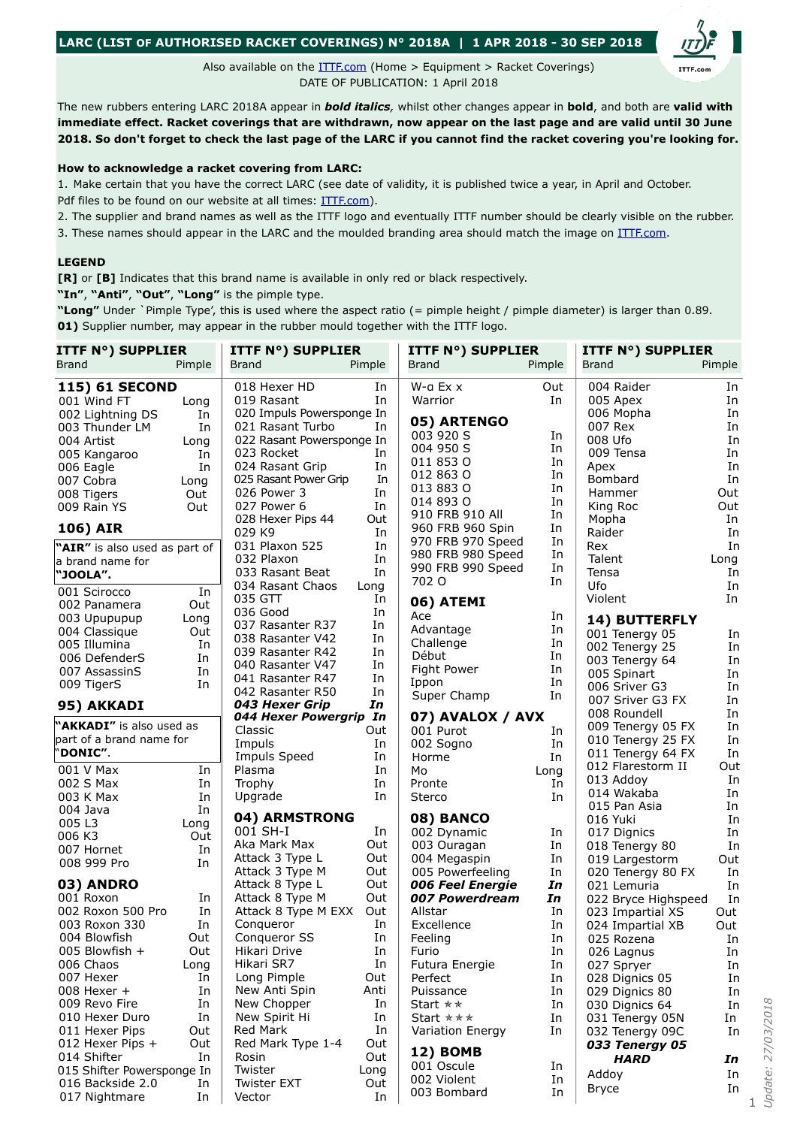## **LARC (LIST OF AUTHORISED RACKET COVERINGS) N° 2018A | 1 APR 2018 - 30 SEP 2018**

Also available on the [ITTF.com](https://www.ittf.com/equipment/) (Home > Equipment > Racket Coverings) DATE OF PUBLICATION: 1 April 2018

The new rubbers entering LARC 2018A appear in *bold italics,* whilst other changes appear in **bold**, and both are **valid with immediate effect. Racket coverings that are withdrawn, now appear on the last page and are valid until 30 June 2018. So don't forget to check the last page of the LARC if you cannot find the racket covering you're looking for.**

## **How to acknowledge a racket covering from LARC:**

1. Make certain that you have the correct LARC (see date of validity, it is published twice a year, in April and October. Pdf files to be found on our website at all times: [ITTF.com](https://www.ittf.com/equipment/)).

2. The supplier and brand names as well as the ITTF logo and eventually ITTF number should be clearly visible on the rubber.

3. These names should appear in the LARC and the moulded branding area should match the image on [ITTF.com.](https://www.ittf.com/equipment/)

## **LEGEND**

**[R]** or **[B]** Indicates that this brand name is available in only red or black respectively.

**"In"**, **"Anti"**, **"Out"**, **"Long"** is the pimple type.

**"Long"** Under `Pimple Type', this is used where the aspect ratio (= pimple height / pimple diameter) is larger than 0.89. **01)** Supplier number, may appear in the rubber mould together with the ITTF logo.

| <b>ITTF N°) SUPPLIER</b>      |        | <b>ITTF N°) SUPPLIER</b>           |           | <b>ITTF N°) SUPPLIER</b>            |          | <b>ITTF N°) SUPPLIER</b>                |          |
|-------------------------------|--------|------------------------------------|-----------|-------------------------------------|----------|-----------------------------------------|----------|
| <b>Brand</b>                  | Pimple | Brand                              | Pimple    | <b>Brand</b>                        | Pimple   | <b>Brand</b>                            | Pimple   |
| <b>115) 61 SECOND</b>         |        | 018 Hexer HD                       | In        | W-a Ex x                            | Out      | 004 Raider                              | In       |
| 001 Wind FT                   | Long   | 019 Rasant                         | In        | Warrior                             | In       | 005 Apex                                | In       |
| 002 Lightning DS              | In     | 020 Impuls Powersponge In          |           |                                     |          | 006 Mopha                               | In       |
| 003 Thunder LM                | In     | 021 Rasant Turbo                   | In        | 05) ARTENGO                         |          | 007 Rex                                 | In       |
| 004 Artist                    | Long   | 022 Rasant Powersponge In          |           | 003 920 S                           | In       | 008 Ufo                                 | In       |
| 005 Kangaroo                  | In     | 023 Rocket                         | In        | 004 950 S                           | In       | 009 Tensa                               | In       |
| 006 Eagle                     | In     | 024 Rasant Grip                    | In        | 011 853 0                           | In       | Apex                                    | In       |
| 007 Cobra                     | Long   | 025 Rasant Power Grip              | In        | 012 863 0                           | In       | Bombard                                 | In       |
| 008 Tigers                    | Out    | 026 Power 3                        | In        | 013 883 0                           | In       | Hammer                                  | Out      |
| 009 Rain YS                   | Out    | 027 Power 6                        | In        | 014 893 0                           | In       | King Roc                                | Out      |
| <b>106) AIR</b>               |        | 028 Hexer Pips 44<br>029 K9        | Out<br>In | 910 FRB 910 All<br>960 FRB 960 Spin | In<br>In | Mopha<br>Raider                         | In<br>In |
|                               |        | 031 Plaxon 525                     | In        | 970 FRB 970 Speed                   | In       | Rex                                     | In       |
| "AIR" is also used as part of |        | 032 Plaxon                         | In        | 980 FRB 980 Speed                   | In       | Talent                                  | Long     |
| a brand name for<br>"JOOLA".  |        | 033 Rasant Beat                    | In        | 990 FRB 990 Speed                   | In       | Tensa                                   | In       |
|                               |        | 034 Rasant Chaos                   | Long      | 702 O                               | In       | Ufo                                     | In       |
| 001 Scirocco                  | In     | 035 GTT                            | In        |                                     |          | Violent                                 | In       |
| 002 Panamera                  | Out    | 036 Good                           | In        | 06) ATEMI                           |          |                                         |          |
| 003 Upupupup                  | Long   | 037 Rasanter R37                   | In        | Ace                                 | In       | 14) BUTTERFLY                           |          |
| 004 Classique                 | Out    | 038 Rasanter V42                   | In        | Advantage                           | In       | 001 Tenergy 05                          | In       |
| 005 Illumina                  | In     | 039 Rasanter R42                   | In        | Challenge                           | In       | 002 Tenergy 25                          | In       |
| 006 DefenderS                 | In     | 040 Rasanter V47                   | In        | Début                               | In       | 003 Tenergy 64                          | In       |
| 007 AssassinS                 | In     | 041 Rasanter R47                   | In        | Fight Power                         | In<br>In | 005 Spinart                             | In       |
| 009 TigerS                    | In     | 042 Rasanter R50                   | In        | Ippon                               |          | 006 Sriver G3                           | In       |
| 95) AKKADI                    |        | 043 Hexer Grip                     | In        | Super Champ                         | In       | 007 Sriver G3 FX                        | In       |
|                               |        | 044 Hexer Powergrip In             |           | 07) AVALOX / AVX                    |          | 008 Roundell                            | In       |
| "AKKADI" is also used as      |        | Classic                            | Out       | 001 Purot                           | In       | 009 Tenergy 05 FX                       | In       |
| part of a brand name for      |        | Impuls                             | In        | 002 Sogno                           | In       | 010 Tenergy 25 FX                       | In       |
| "DONIC".                      |        | Impuls Speed                       | In        | Horme                               | In       | 011 Tenergy 64 FX                       | In       |
| 001 V Max                     | In     | Plasma                             | In        | Mo                                  | Long     | 012 Flarestorm II                       | Out      |
| 002 S Max                     | In     | Trophy                             | In        | Pronte                              | In       | 013 Addoy                               | In       |
| 003 K Max                     | In     | Upgrade                            | In        | Sterco                              | In       | 014 Wakaba                              | In       |
| 004 Java                      | In     |                                    |           |                                     |          | 015 Pan Asia                            | In       |
| 005 L3                        | Long   | 04) ARMSTRONG<br>001 SH-I          | In        | 08) BANCO                           |          | 016 Yuki                                | In       |
| 006 K3                        | Out    | Aka Mark Max                       | Out       | 002 Dynamic                         | In       | 017 Dignics                             | In       |
| 007 Hornet                    | In     |                                    | Out       | 003 Ouragan                         | In       | 018 Tenergy 80                          | In       |
| 008 999 Pro                   | In     | Attack 3 Type L<br>Attack 3 Type M | Out       | 004 Megaspin<br>005 Powerfeeling    | In       | 019 Largestorm                          | Out      |
| 03) ANDRO                     |        | Attack 8 Type L                    | Out       | 006 Feel Energie                    | In<br>In | 020 Tenergy 80 FX                       | In       |
| 001 Roxon                     | In     | Attack 8 Type M                    | Out       | 007 Powerdream                      | In       | 021 Lemuria                             | In<br>In |
| 002 Roxon 500 Pro             | In     | Attack 8 Type M EXX                | Out       | Allstar                             | In       | 022 Bryce Highspeed<br>023 Impartial XS | Out      |
| 003 Roxon 330                 | In     | Conqueror                          | In        | Excellence                          | In       | 024 Impartial XB                        | Out      |
| 004 Blowfish                  | Out    | Conqueror SS                       | In        | Feeling                             | In       | 025 Rozena                              |          |
| 005 Blowfish +                | Out    | Hikari Drive                       | In        | Furio                               | In       | 026 Lagnus                              | In<br>In |
| 006 Chaos                     | Long   | Hikari SR7                         | In        | Futura Energie                      | In       | 027 Spryer                              | In       |
| 007 Hexer                     | In     | Long Pimple                        | Out       | Perfect                             | In       | 028 Dignics 05                          | In       |
| $008$ Hexer +                 | In     | New Anti Spin                      | Anti      | Puissance                           | In       | 029 Dignics 80                          | In       |
| 009 Revo Fire                 | In     | New Chopper                        | In        | Start $\star \star$                 | In       | 030 Dignics 64                          | In       |
| 010 Hexer Duro                | In     | New Spirit Hi                      | In        | Start $\star \star \star$           | In       | 031 Tenergy 05N                         | In       |
| 011 Hexer Pips                | Out    | Red Mark                           | In        | Variation Energy                    | In       | 032 Tenergy 09C                         | In       |
| 012 Hexer Pips +              | Out    | Red Mark Type 1-4                  | Out       |                                     |          | 033 Tenergy 05                          |          |
| 014 Shifter                   | In     | Rosin                              | Out       | 12) BOMB                            |          | <b>HARD</b>                             | In       |
| 015 Shifter Powersponge In    |        | Twister                            | Long      | 001 Oscule                          | In       |                                         |          |
| 016 Backside 2.0              | In     | <b>Twister EXT</b>                 | Out       | 002 Violent                         | In       | Addoy                                   | In       |
| 017 Nightmare                 | In     | Vector                             | In        | 003 Bombard                         | In       | <b>Bryce</b>                            | In       |

Jpdate: 27/03/2018 *Update: 27/03/2018* 

1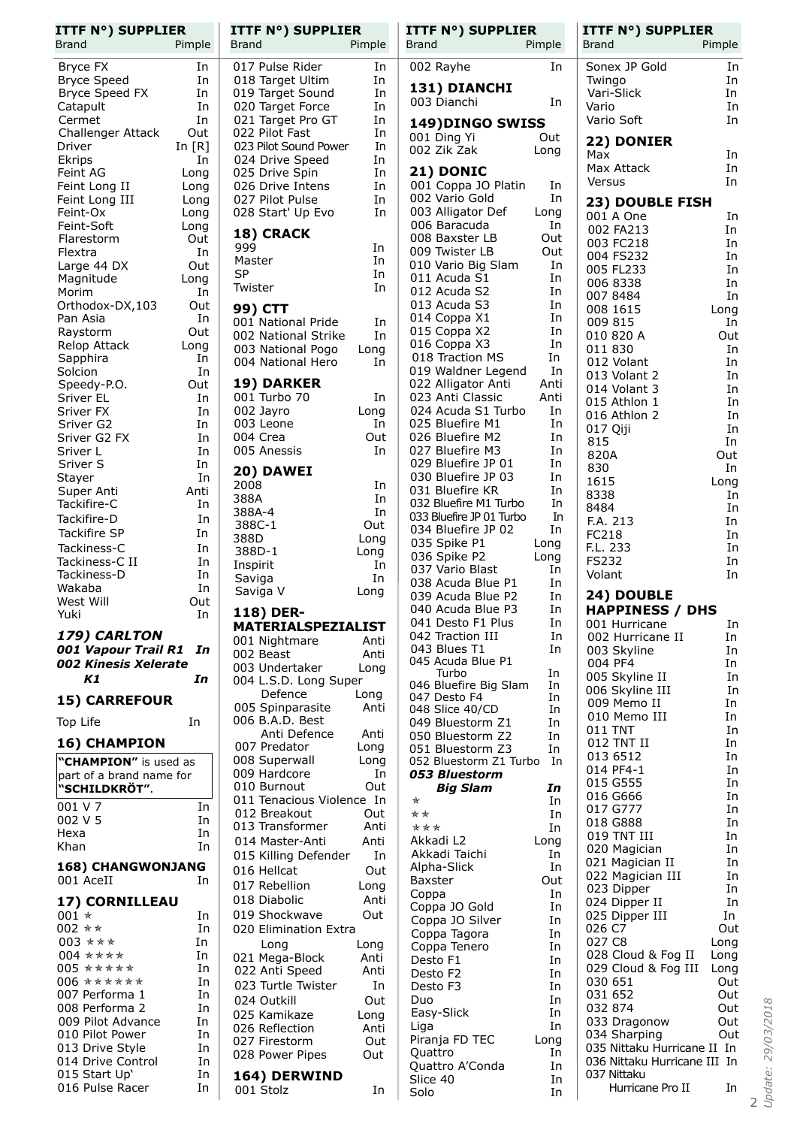| <b>ITTF N°) SUPPLIER</b><br><b>Brand</b>  | Pimple      | <b>ITTF N°) SUPPLIER</b><br>Brand        | Pimple       | <b>ITTF N°) SUPPLIER</b><br><b>Brand</b> | Pimple     | <b>ITTF N°) SUPPLIER</b><br><b>Brand</b><br>Pimple |
|-------------------------------------------|-------------|------------------------------------------|--------------|------------------------------------------|------------|----------------------------------------------------|
| Bryce FX                                  | In          | 017 Pulse Rider                          | In           | 002 Rayhe                                | In         | Sonex JP Gold<br>In                                |
| <b>Bryce Speed</b>                        | In          | 018 Target Ultim                         | In           |                                          |            | Twingo<br>In                                       |
| Bryce Speed FX                            | In          | 019 Target Sound                         | In           | 131) DIANCHI<br>003 Dianchi              | In         | In<br>Vari-Slick                                   |
| Catapult                                  | In          | 020 Target Force                         | In           |                                          |            | Vario<br>In                                        |
| Cermet                                    | In<br>Out   | 021 Target Pro GT                        | In           | 149) DINGO SWISS                         |            | Vario Soft<br>In                                   |
| Challenger Attack<br>Driver               | In $[R]$    | 022 Pilot Fast<br>023 Pilot Sound Power  | In<br>In     | 001 Ding Yi                              | Out        | 22) DONIER                                         |
| Ekrips                                    | In          | 024 Drive Speed                          | In           | 002 Zik Zak                              | Long       | Max<br>In                                          |
| Feint AG                                  | Long        | 025 Drive Spin                           | In           | 21) DONIC                                |            | Max Attack<br>In                                   |
| Feint Long II                             | Long        | 026 Drive Intens                         | In           | 001 Coppa JO Platin                      | In         | In.<br>Versus                                      |
| Feint Long III                            | Long        | 027 Pilot Pulse                          | In           | 002 Vario Gold                           | In         | 23) DOUBLE FISH                                    |
| Feint-Ox                                  | Long        | 028 Start' Up Evo                        | In           | 003 Alligator Def<br>006 Baracuda        | Long<br>In | 001 A One<br>In                                    |
| Feint-Soft<br>Flarestorm                  | Long<br>Out | 18) CRACK                                |              | 008 Baxster LB                           | Out        | 002 FA213<br>In                                    |
| Flextra                                   | In          | 999                                      | In           | 009 Twister LB                           | Out        | 003 FC218<br>In<br>004 FS232<br>In                 |
| Large 44 DX                               | Out         | Master                                   | In           | 010 Vario Big Slam                       | In         | 005 FL233<br>In                                    |
| Magnitude                                 | Long        | SP<br>Twister                            | In<br>In     | 011 Acuda S1                             | In         | 006 8338<br>In                                     |
| Morim                                     | In          |                                          |              | 012 Acuda S2                             | In         | 007 8484<br>In                                     |
| Orthodox-DX,103                           | Out         | 99) CTT                                  |              | 013 Acuda S3<br>014 Coppa X1             | In<br>In   | 008 1615<br>Long                                   |
| Pan Asia<br>Raystorm                      | In<br>Out   | 001 National Pride                       | In           | 015 Coppa X2                             | In         | 009 815<br>In                                      |
| Relop Attack                              | Long        | 002 National Strike<br>003 National Pogo | In<br>Long   | 016 Coppa X3                             | In         | 010 820 A<br>Out<br>011 830<br>In                  |
| Sapphira                                  | In          | 004 National Hero                        | In           | 018 Traction MS                          | In         | 012 Volant<br>In                                   |
| Solcion                                   | In          |                                          |              | 019 Waldner Legend                       | In         | 013 Volant 2<br>In                                 |
| Speedy-P.O.                               | Out         | 19) DARKER                               |              | 022 Alligator Anti                       | Anti       | In<br>014 Volant 3                                 |
| Sriver EL<br>Sriver FX                    | In<br>In    | 001 Turbo 70<br>002 Jayro                | In<br>Long   | 023 Anti Classic<br>024 Acuda S1 Turbo   | Anti<br>In | 015 Athlon 1<br>In                                 |
| Sriver G2                                 | In          | 003 Leone                                | In           | 025 Bluefire M1                          | In         | 016 Athlon 2<br>In                                 |
| Sriver G2 FX                              | In          | 004 Crea                                 | Out          | 026 Bluefire M2                          | In         | In<br>017 Qiji<br>815<br>In                        |
| Sriver L                                  | In          | 005 Anessis                              | In           | 027 Bluefire M3                          | In         | 820A<br>Out                                        |
| Sriver S                                  | In          | 20) DAWEI                                |              | 029 Bluefire JP 01                       | In         | 830<br>In                                          |
| Stayer                                    | In          | 2008                                     | In           | 030 Bluefire JP 03                       | In         | 1615<br>Long                                       |
| Super Anti<br>Tackifire-C                 | Anti<br>In  | 388A                                     | In           | 031 Bluefire KR<br>032 Bluefire M1 Turbo | In<br>In   | 8338<br>In                                         |
| Tackifire-D                               | In          | 388A-4                                   | In           | 033 Bluefire JP 01 Turbo                 | In         | 8484<br>In                                         |
| Tackifire SP                              | In          | 388C-1                                   | Out          | 034 Bluefire JP 02                       | In         | F.A. 213<br>In<br>FC218<br>In                      |
| Tackiness-C                               | In          | 388D<br>388D-1                           | Long         | 035 Spike P1                             | Long       | F.L. 233<br>In                                     |
| Tackiness-C II                            | In          | Inspirit                                 | Long<br>In   | 036 Spike P2                             | Long       | <b>FS232</b><br>In                                 |
| Tackiness-D                               | In          | Saviga                                   | In           | 037 Vario Blast                          | In         | Volant<br>In                                       |
| Wakaba                                    | In          | Saviga V                                 | Long         | 038 Acuda Blue P1<br>039 Acuda Blue P2   | In<br>In   | 24) DOUBLE                                         |
| West Will                                 | Out<br>In   | 118) DER-                                |              | 040 Acuda Blue P3                        | In         | <b>HAPPINESS / DHS</b>                             |
| Yuki                                      |             | <b>MATERIALSPEZIALIST</b>                |              | 041 Desto F1 Plus                        | In         | 001 Hurricane<br>In                                |
| 179) CARLTON                              |             | 001 Nightmare                            | Anti         | 042 Traction III                         | In         | 002 Hurricane II<br>In                             |
| 001 Vapour Trail R1                       | In          | 002 Beast                                | Anti         | 043 Blues T1<br>045 Acuda Blue P1        | In         | 003 Skyline<br>In<br>004 PF4                       |
| 002 Kinesis Xelerate                      |             | 003 Undertaker                           | Long         | Turbo                                    | In         | In<br>005 Skyline II<br>In                         |
| Κ1                                        | In          | 004 L.S.D. Long Super                    |              | 046 Bluefire Big Slam                    | In         | 006 Skyline III<br>In                              |
| <b>15) CARREFOUR</b>                      |             | Defence<br>005 Spinparasite              | Long<br>Anti | 047 Desto F4                             | In<br>In   | 009 Memo II<br>In                                  |
| Top Life                                  | In          | 006 B.A.D. Best                          |              | 048 Slice 40/CD<br>049 Bluestorm Z1      | In         | In<br>010 Memo III                                 |
|                                           |             | Anti Defence                             | Anti         | 050 Bluestorm Z2                         | In         | 011 TNT<br>In                                      |
| 16) CHAMPION                              |             | 007 Predator                             | Long         | 051 Bluestorm Z3                         | In         | 012 TNT II<br>In<br>013 6512<br>In                 |
| "CHAMPION" is used as                     |             | 008 Superwall                            | Long         | 052 Bluestorm Z1 Turbo                   | In         | 014 PF4-1<br>In                                    |
| part of a brand name for<br>"SCHILDKRÖT". |             | 009 Hardcore<br>010 Burnout              | In<br>Out    | <b>053 Bluestorm</b><br><b>Big Slam</b>  | In         | 015 G555<br>In                                     |
|                                           |             | 011 Tenacious Violence In                |              | ★                                        | In         | In<br>016 G666                                     |
| 001 V 7<br>002 V 5                        | In<br>In    | 012 Breakout                             | Out          | **                                       | In         | 017 G777<br>In                                     |
| Hexa                                      | In          | 013 Transformer                          | Anti         | ***                                      | In         | 018 G888<br>In<br>In<br>019 TNT III                |
| Khan                                      | In          | 014 Master-Anti                          | Anti         | Akkadi L2                                | Long       | In<br>020 Magician                                 |
| <b>168) CHANGWONJANG</b>                  |             | 015 Killing Defender                     | In           | Akkadi Taichi<br>Alpha-Slick             | In<br>In   | 021 Magician II<br>In                              |
| 001 AceII                                 | In          | 016 Hellcat                              | Out          | Baxster                                  | Out        | 022 Magician III<br>In                             |
|                                           |             | 017 Rebellion                            | Long         | Coppa                                    | In         | 023 Dipper<br>In                                   |
| 17) CORNILLEAU                            |             | 018 Diabolic<br>019 Shockwave            | Anti<br>Out  | Coppa JO Gold                            | In         | In<br>024 Dipper II                                |
| 001 $*$<br>002 **                         | In<br>In    | 020 Elimination Extra                    |              | Coppa JO Silver                          | In         | In<br>025 Dipper III<br>026 C7<br>Out              |
| 003 * * *                                 | In          | Long                                     | Long         | Coppa Tagora<br>Coppa Tenero             | In         | 027 C8<br>Long                                     |
| 004 ****                                  | In          | 021 Mega-Block                           | Anti         | Desto F1                                 | In<br>In   | 028 Cloud & Fog II<br>Long                         |
| 005 *****                                 | In          | 022 Anti Speed                           | Anti         | Desto F2                                 | In         | 029 Cloud & Fog III<br>Long                        |
| $006$ ******                              | In          | 023 Turtle Twister                       | In           | Desto F3                                 | In         | 030 651<br>Out                                     |
| 007 Performa 1<br>008 Performa 2          | In<br>In    | 024 Outkill                              | Out          | Duo                                      | In         | 031 652<br>Out<br>032 874<br>Out                   |
| 009 Pilot Advance                         | In          | 025 Kamikaze                             | Long         | Easy-Slick                               | In         | Out<br>033 Dragonow                                |
| 010 Pilot Power                           | In          | 026 Reflection                           | Anti         | Liga<br>Piranja FD TEC                   | In<br>Long | 034 Sharping<br>Out                                |
| 013 Drive Style                           | In          | 027 Firestorm<br>028 Power Pipes         | Out<br>Out   | Quattro                                  | In         | 035 Nittaku Hurricane II In                        |
| 014 Drive Control                         | In          |                                          |              | Quattro A'Conda                          | In         | 036 Nittaku Hurricane III In                       |
| 015 Start Up'<br>016 Pulse Racer          | In<br>In    | 164) DERWIND                             |              | Slice 40                                 | In         | 037 Nittaku<br>Hurricane Pro II<br>In              |
|                                           |             | 001 Stolz                                | In           | Solo                                     | In         |                                                    |

N<br>Update: 29/03/2018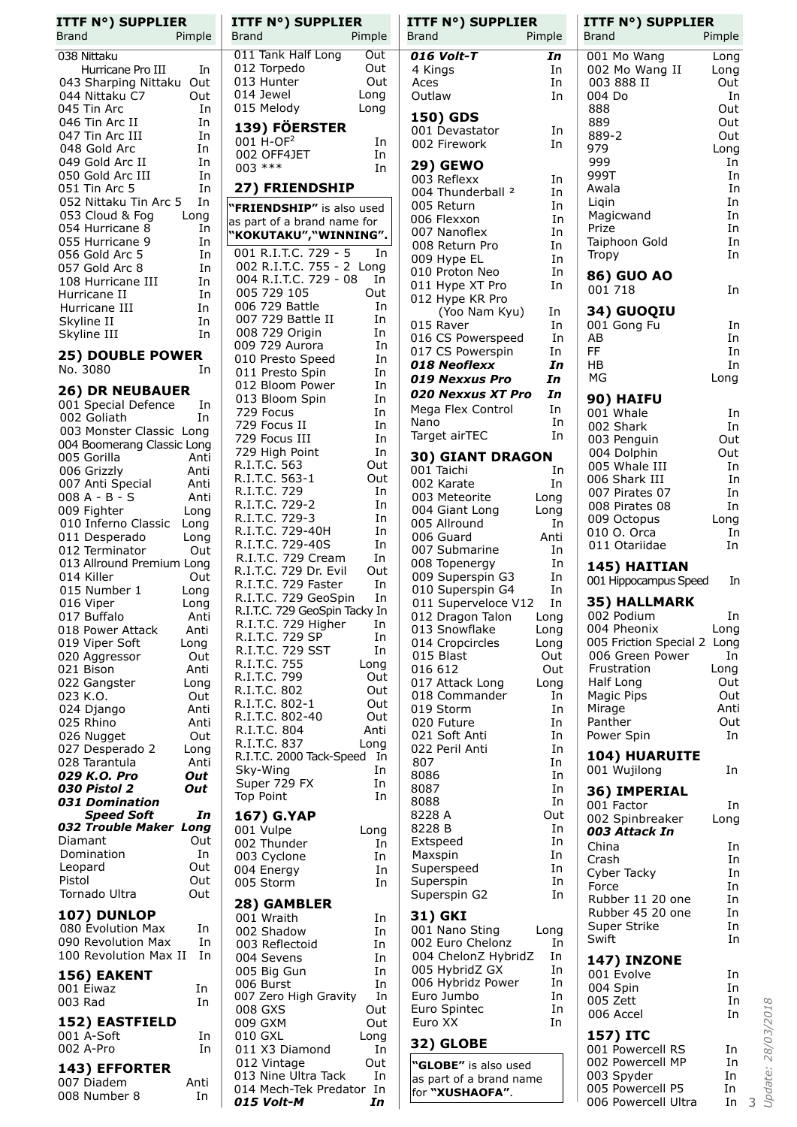| <b>Brand</b>                                                                                                                                                                                                                                                                                                                                                                                                                                     | <b>ITTF N°) SUPPLIER</b>                                                                              |                                                                                                                                                                                                                   |
|--------------------------------------------------------------------------------------------------------------------------------------------------------------------------------------------------------------------------------------------------------------------------------------------------------------------------------------------------------------------------------------------------------------------------------------------------|-------------------------------------------------------------------------------------------------------|-------------------------------------------------------------------------------------------------------------------------------------------------------------------------------------------------------------------|
| 038 Nittaku                                                                                                                                                                                                                                                                                                                                                                                                                                      |                                                                                                       | Pimple                                                                                                                                                                                                            |
| 044 Nittaku C7<br>045 Tin Arc<br>046 Tin Arc II<br>047 Tin Arc III<br>048 Gold Arc<br>049 Gold Arc II<br>050 Gold Arc III<br>051 Tin Arc 5<br>053 Cloud & Fog<br>054 Hurricane 8<br>055 Hurricane 9<br>056 Gold Arc 5<br>057 Gold Arc 8<br>108 Hurricane III<br>Hurricane II<br>Hurricane III<br>Skyline II<br>Skyline III<br>No. 3080                                                                                                           | Hurricane Pro III<br>043 Sharping Nittaku<br>052 Nittaku Tin Arc 5<br><b>25) DOUBLE POWER</b>         | In<br>Out<br>Out<br>In<br>In<br>In<br>In<br>In<br>In<br>In<br>In<br>Long<br>In<br>In<br>In<br>In<br>In<br>In<br>In<br>In<br>In<br>In                                                                              |
|                                                                                                                                                                                                                                                                                                                                                                                                                                                  | <b>26) DR NEUBAUER</b>                                                                                |                                                                                                                                                                                                                   |
| 002 Goliath<br>005 Gorilla<br>006 Grizzly<br>007 Anti Special<br>008 A - B - S<br>009 Fighter<br>010 Inferno Classic<br>011 Desperado<br>012 Terminator<br>014 Killer<br>015 Number 1<br>016 Viper<br>017 Buffalo<br>018 Power Attack<br>019 Viper Soft<br>020 Aggressor<br>021 Bison<br>022 Gangster<br>023 K.O.<br>024 Django<br>025 Rhino<br>026 Nugget<br>027 Desperado 2<br>028 Tarantula<br>029 K.O. Pro<br>030 Pistol 2<br>031 Domination | 001 Special Defence<br>003 Monster Classic<br>004 Boomerang Classic Long<br>013 Allround Premium Long | In<br>In<br>Long<br>Anti<br>Anti<br>Anti<br>Anti<br>Long<br>Long<br>Long<br>Out<br>Out<br>Long<br>Long<br>Antı<br>Anti<br>Long<br>Out<br>Anti<br>Long<br>Out<br>Anti<br>Anti<br>Out<br>Long<br>Anti<br>Out<br>Out |
|                                                                                                                                                                                                                                                                                                                                                                                                                                                  | <b>Speed Soft</b>                                                                                     | In                                                                                                                                                                                                                |
| Diamant<br>Domination<br>Leopard<br>Pistol<br>Tornado Ultra                                                                                                                                                                                                                                                                                                                                                                                      | 032 Trouble Maker Long                                                                                | Out<br>In<br>Out<br>Out<br>Out                                                                                                                                                                                    |
| <b>107) DUNLOP</b>                                                                                                                                                                                                                                                                                                                                                                                                                               |                                                                                                       |                                                                                                                                                                                                                   |
| 080 Evolution Max                                                                                                                                                                                                                                                                                                                                                                                                                                | 090 Revolution Max<br>100 Revolution Max II                                                           | In<br>In<br>In                                                                                                                                                                                                    |
| 156) EAKENT<br>001 Eiwaz                                                                                                                                                                                                                                                                                                                                                                                                                         |                                                                                                       | In                                                                                                                                                                                                                |
| 003 Rad                                                                                                                                                                                                                                                                                                                                                                                                                                          | <b>152) EASTFIELD</b>                                                                                 | In                                                                                                                                                                                                                |
| 001 A-Soft<br>002 A-Pro                                                                                                                                                                                                                                                                                                                                                                                                                          |                                                                                                       | In<br>In                                                                                                                                                                                                          |
| <b>143) EFFORTER</b>                                                                                                                                                                                                                                                                                                                                                                                                                             |                                                                                                       |                                                                                                                                                                                                                   |
| 007 Diadem<br>008 Number 8                                                                                                                                                                                                                                                                                                                                                                                                                       |                                                                                                       | Anti<br>In                                                                                                                                                                                                        |

| <b>ITTF N°) SUPPLIER</b><br><b>Brand</b>              |            |
|-------------------------------------------------------|------------|
| Pimple<br>011 Tank Half Long                          | Out        |
| 012 Torpedo                                           | Out        |
| 013 Hunter                                            | Out        |
| 014 Jewel<br>Long<br>015 Melody<br>Long               |            |
| 139) FÖERSTER                                         |            |
| 001 H-OF <sup>2</sup>                                 | In         |
| 002 OFF4JET                                           | In         |
| 003 ***                                               | In         |
| <b>27) FRIENDSHIP</b>                                 |            |
| "FRIENDSHIP" is also used                             |            |
| as part of a brand name for<br>"KOKUTAKU", "WINNING". |            |
| 001 R.I.T.C. 729 - 5                                  | In         |
| 002 R.I.T.C. 755 - 2 Long                             |            |
| 004 R.I.T.C. 729 - 08<br>005 729 105                  | In<br>Out  |
| 006 729 Battle                                        | In         |
| 007 729 Battle II<br>008 729 Origin                   | In         |
| 009 729 Aurora                                        | In<br>In   |
| 010 Presto Speed                                      | In         |
| 011 Presto Spin                                       | In         |
| 012 Bloom Power<br>013 Bloom Spin                     | In<br>In   |
| 729 Focus                                             | In         |
| 729 Focus II                                          | In         |
| 729 Focus III<br>729 High Point                       | In<br>In   |
| R.I.T.C. 563                                          | Out        |
| R.I.T.C. 563-1<br>R.I.T.C. 729                        | Out        |
|                                                       | In<br>In   |
| R.I.T.C. 729-2                                        | In         |
| R.I.T.C. 729-3<br>R.I.T.C. 729-40H                    | In         |
| R.I.T.C. 729-40S<br>R.I.T.C. 729 Cream                | In<br>In   |
| R.I.T.C. 729 Dr. Evil                                 | Out        |
| R.I.T.C. 729 Faster<br>R.I.T.C. 729 GeoSpin           | In         |
| R.I.T.C. 729 GeoSpin Tacky In                         | In         |
| R.I.T.C. 729 Higher<br>R.I.T.C. 729 SP                | In         |
|                                                       | In         |
| R.I.T.C. 729 SST<br>Long                              | In         |
| R.I.T.C. 755<br>R.I.T.C. 799                          | Out        |
| R.I.T.C. 802                                          | Out        |
| R.I.T.C. 802-1<br>R.I.T.C. 802-40                     | Out<br>Out |
| R.I.T.C. 804                                          | Anti       |
| R.I.T.C. 837<br>Long                                  |            |
| R.I.T.C. 2000 Tack-Speed<br>Sky-Wing                  | In<br>In   |
| Super 729 FX                                          | In         |
| <b>Top Point</b>                                      | In         |
| <b>167) G.YAP</b><br>001 Vulpe                        |            |
| Long<br>002 Thunder                                   | In         |
| 003 Cyclone                                           | In         |
| 004 Energy                                            | In         |
| 005 Storm                                             | In         |
| 28) GAMBLER<br>001 Wraith                             |            |
| 002 Shadow                                            | In<br>In   |
| 003 Reflectoid                                        | In         |
| 004 Sevens                                            | In         |
| 005 Big Gun<br>006 Burst                              | In<br>In   |
| 007 Zero High Gravity                                 | In         |
| 008 GXS                                               | Out        |
| 009 GXM<br>010 GXL<br>Long                            | Out        |
| 011 X3 Diamond<br>012 Vintage                         | In         |
|                                                       | Out        |
| 013 Nine Ultra Tack<br>014 Mech-Tek Predator In       | In         |
| 015 Volt-M                                            | In         |

| ITTF N°) SUPPLIER                       |            | <b>ITTF N°) SUPPLIER</b>                |            |
|-----------------------------------------|------------|-----------------------------------------|------------|
| Brand                                   | Pimple     | <b>Brand</b>                            | Pimple     |
| 016 Volt-T                              | In         | 001 Mo Wang                             | Long       |
| 4 Kings                                 | In         | 002 Mo Wang II                          | Long       |
| Aces                                    | In         | 003 888 II                              | Out        |
| Outlaw                                  | In         | 004 Do                                  | In         |
| 150) GDS                                |            | 888<br>889                              | Out<br>Out |
| 001 Devastator                          | In         | 889-2                                   | Out        |
| 002 Firework                            | In         | 979                                     | Long       |
| <b>29) GEWO</b>                         |            | 999                                     | In         |
| 003 Reflexx                             | In         | 999T                                    | In         |
| 004 Thunderball <sup>2</sup>            | In         | Awala                                   | In         |
| 005 Return                              | In         | Ligin<br>Magicwand                      | In<br>In   |
| 006 Flexxon<br>007 Nanoflex             | In         | Prize                                   | In         |
| 008 Return Pro                          | In<br>In   | Taiphoon Gold                           | In         |
| 009 Hype EL                             | In         | Tropy                                   | In         |
| 010 Proton Neo                          | In         | 86) GUO AO                              |            |
| 011 Hype XT Pro                         | In         | 001 718                                 | In         |
| 012 Hype KR Pro                         |            |                                         |            |
| (Yoo Nam Kyu)<br>015 Raver              | In<br>In   | 34) GUOQIU                              | In         |
| 016 CS Powerspeed                       | In         | 001 Gong Fu<br>AB                       | In         |
| 017 CS Powerspin                        | In         | FF                                      | In         |
| 018 Neoflexx                            | In         | HB                                      | In         |
| 019 Nexxus Pro                          | In         | ΜG                                      | Long       |
| 020 Nexxus XT Pro                       | In         | 90) HAIFU                               |            |
| Mega Flex Control                       | In         | 001 Whale                               | In         |
| Nano                                    | In         | 002 Shark                               | In         |
| Target airTEC                           | In         | 003 Penguin                             | Out        |
| 30) GIANT DRAGON                        |            | 004 Dolphin                             | Out        |
| 001 Taichi                              | In         | 005 Whale III                           | In         |
| 002 Karate                              | In         | 006 Shark III<br>007 Pirates 07         | In<br>In   |
| 003 Meteorite                           | Long       | 008 Pirates 08                          | In         |
| 004 Giant Long<br>005 Allround          | Long<br>In | 009 Octopus                             | Long       |
| 006 Guard                               | Anti       | 010 O. Orca                             | In         |
| 007 Submarine                           | In         | 011 Otariidae                           | In         |
| 008 Topenergy                           | In         | 145) HAITIAN                            |            |
| 009 Superspin G3                        | In         | 001 Hippocampus Speed                   | In         |
| 010 Superspin G4                        | In<br>In   | 35) HALLMARK                            |            |
| 011 Superveloce V12<br>012 Dragon Talon | Long       | 002 Podium                              | In         |
| 013 Snowflake                           | Long       | 004 Pheonix                             | Long       |
| 014 Cropcircles                         | Long       | 005 Friction Special 2                  | Long       |
| 015 Blast                               | Out        | 006 Green Power                         | In         |
| 016 612                                 | Out        | Frustration                             | Long       |
| 017 Attack Long<br>018 Commander        | Long<br>In | Half Long<br>Magic Pips                 | Out<br>Out |
| 019 Storm                               | In         | Mirage                                  | Anti       |
| 020 Future                              | In         | Panther                                 | Out        |
| 021 Soft Anti                           | In         | Power Spin                              | In         |
| 022 Peril Anti                          | In         | 104) HUARUITE                           |            |
| 807                                     | In         | 001 Wujilong                            | In         |
| 8086<br>8087                            | In<br>In   |                                         |            |
| 8088                                    | In         | 36) IMPERIAL<br>001 Factor              | In         |
| 8228 A                                  | Out        | 002 Spinbreaker                         | Long       |
| 8228 B                                  | In         | 003 Attack In                           |            |
| Extspeed                                | In         | China                                   | In         |
| Maxspin                                 | In<br>In   | Crash                                   | In         |
| Superspeed<br>Superspin                 | In         | Cyber Tacky                             | In         |
| Superspin G2                            | In         | Force                                   | In         |
|                                         |            | Rubber 11 20 one<br>Rubber 45 20 one    | In<br>In   |
| 31) GKI                                 |            | Super Strike                            | In         |
| 001 Nano Sting<br>002 Euro Chelonz      | Long<br>In | Swift                                   | In         |
| 004 ChelonZ HybridZ                     | In         | <b>147) INZONE</b>                      |            |
| 005 HybridZ GX                          | In         | 001 Evolve                              | In         |
| 006 Hybridz Power                       | In         | 004 Spin                                | In         |
| Euro Jumbo                              | In         | 005 Zett                                | In         |
| Euro Spintec<br>Euro XX                 | In<br>In   | 006 Accel                               | In         |
|                                         |            | 157) ITC                                |            |
| 32) GLOBE                               |            | 001 Powercell RS                        | In         |
| "GLOBE" is also used                    |            | 002 Powercell MP                        | In         |
| as part of a brand name                 |            | 003 Spyder                              | In         |
| for "XUSHAOFA".                         |            | 005 Powercell P5<br>006 Powercell Ultra | In<br>In   |
|                                         |            |                                         |            |

Update: 28/03/2018 *Update: 28/03/2018*

3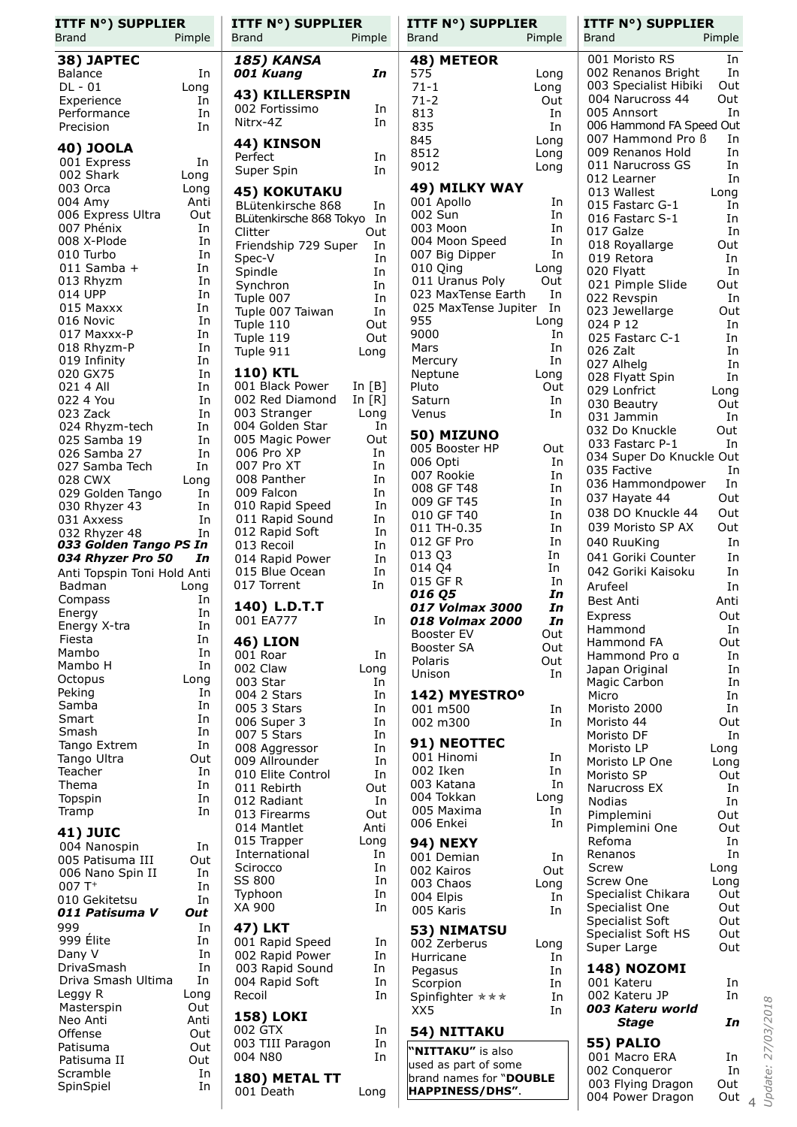| <b>ITTF N°) SUPPLIER</b><br>Brand     | Pimple       | <b>ITTF N°) SUPPLIER</b><br>Brand     | Pimple               | <b>ITTF N°) SUPPLIER</b><br>Brand          | Pimple       | <b>ITTF N°) SUPPLIER</b><br>Brand             | Pimple     |
|---------------------------------------|--------------|---------------------------------------|----------------------|--------------------------------------------|--------------|-----------------------------------------------|------------|
| 38) JAPTEC                            |              | <b>185) KANSA</b>                     |                      | 48) METEOR                                 |              | 001 Moristo RS                                | In         |
| Balance                               | In           | 001 Kuang                             | In                   | 575                                        | Long         | 002 Renanos Bright                            | In         |
| $DL - 01$                             | Long         |                                       |                      | $71 - 1$                                   | Long         | 003 Specialist Hibiki                         | Out        |
| Experience                            | In           | 43) KILLERSPIN<br>002 Fortissimo      | In                   | $71 - 2$                                   | Out          | 004 Narucross 44                              | Out        |
| Performance                           | In           | Nitrx-4Z                              | In                   | 813                                        | In           | 005 Annsort                                   | In         |
| Precision                             | In           |                                       |                      | 835                                        | In           | 006 Hammond FA Speed Out<br>007 Hammond Pro B | In         |
| 40) JOOLA                             |              | 44) KINSON                            |                      | 845<br>8512                                | Long<br>Long | 009 Renanos Hold                              | In         |
| 001 Express                           | In           | Perfect                               | In<br>In             | 9012                                       | Long         | 011 Narucross GS                              | In         |
| 002 Shark                             | Long         | Super Spin                            |                      |                                            |              | 012 Learner                                   | In         |
| 003 Orca                              | Long<br>Anti | <b>45) KOKUTAKU</b>                   |                      | 49) MILKY WAY                              | In           | 013 Wallest                                   | Long       |
| 004 Amy<br>006 Express Ultra          | Out          | BLütenkirsche 868                     | In                   | 001 Apollo<br>002 Sun                      | In           | 015 Fastarc G-1                               | In         |
| 007 Phénix                            | In           | BLütenkirsche 868 Tokyo In<br>Clitter | Out                  | 003 Moon                                   | In           | 016 Fastarc S-1<br>017 Galze                  | In<br>In   |
| 008 X-Plode                           | In           | Friendship 729 Super                  | In                   | 004 Moon Speed                             | In           | 018 Royallarge                                | Out        |
| 010 Turbo                             | In           | Spec-V                                | In                   | 007 Big Dipper                             | In           | 019 Retora                                    | In         |
| $011$ Samba +                         | In           | Spindle                               | In                   | 010 Qing                                   | Long         | 020 Flyatt                                    | In         |
| 013 Rhyzm<br>014 UPP                  | In<br>In     | Synchron                              | In                   | 011 Uranus Poly                            | Out          | 021 Pimple Slide                              | Out        |
| 015 Maxxx                             | In           | Tuple 007                             | In                   | 023 MaxTense Earth<br>025 MaxTense Jupiter | In<br>In     | 022 Revspin                                   | In         |
| 016 Novic                             | In           | Tuple 007 Taiwan<br>Tuple 110         | In<br>Out            | 955                                        | Long         | 023 Jewellarge<br>024 P 12                    | Out<br>In  |
| 017 Maxxx-P                           | In           | Tuple 119                             | Out                  | 9000                                       | In           | 025 Fastarc C-1                               | In         |
| 018 Rhyzm-P                           | In           | Tuple 911                             | Long                 | Mars                                       | In           | 026 Zalt                                      | In         |
| 019 Infinity                          | In           |                                       |                      | Mercury                                    | In           | 027 Alhelg                                    | In         |
| 020 GX75                              | In           | <b>110) KTL</b>                       |                      | Neptune                                    | Long         | 028 Flyatt Spin                               | In         |
| 021 4 All<br>022 4 You                | In<br>In     | 001 Black Power<br>002 Red Diamond    | In $[B]$<br>In $[R]$ | Pluto<br>Saturn                            | Out<br>In    | 029 Lonfrict                                  | Long       |
| 023 Zack                              | In           | 003 Stranger                          | Long                 | Venus                                      | In           | 030 Beautry                                   | Out<br>In  |
| 024 Rhyzm-tech                        | In           | 004 Golden Star                       | In                   |                                            |              | 031 Jammin<br>032 Do Knuckle                  | Out        |
| 025 Samba 19                          | In           | 005 Magic Power                       | Out                  | 50) MIZUNO                                 |              | 033 Fastarc P-1                               | In         |
| 026 Samba 27                          | In           | 006 Pro XP                            | In                   | 005 Booster HP<br>006 Opti                 | Out<br>In    | 034 Super Do Knuckle Out                      |            |
| 027 Samba Tech                        | In           | 007 Pro XT                            | In                   | 007 Rookie                                 | In           | 035 Factive                                   | In         |
| 028 CWX<br>029 Golden Tango           | Long<br>In   | 008 Panther<br>009 Falcon             | In<br>In             | 008 GF T48                                 | In           | 036 Hammondpower                              | In         |
| 030 Rhyzer 43                         | In           | 010 Rapid Speed                       | In                   | 009 GF T45                                 | In           | 037 Hayate 44                                 | Out        |
| 031 Axxess                            | In           | 011 Rapid Sound                       | In                   | 010 GF T40                                 | In           | 038 DO Knuckle 44                             | Out        |
| 032 Rhyzer 48                         | In           | 012 Rapid Soft                        | In                   | 011 TH-0.35                                | In           | 039 Moristo SP AX                             | Out        |
| 033 Golden Tango PS In                |              | 013 Recoil                            | In                   | 012 GF Pro<br>013 Q3                       | In<br>In     | 040 RuuKing                                   | In         |
| 034 Rhyzer Pro 50                     | In           | 014 Rapid Power<br>015 Blue Ocean     | In<br>In             | 014 Q4                                     | In           | 041 Goriki Counter<br>042 Goriki Kaisoku      | In<br>In   |
| Anti Topspin Toni Hold Anti<br>Badman | Long         | 017 Torrent                           | In                   | 015 GF R                                   | In           | Arufeel                                       | In         |
| Compass                               | In           |                                       |                      | 016 Q5                                     | In           | Best Anti                                     | Anti       |
| Energy                                | In           | 140) L.D.T.T                          |                      | 017 Volmax 3000                            | In           | Express                                       | Out        |
| Energy X-tra                          | In           | 001 EA777                             | In                   | 018 Volmax 2000<br>Booster EV              | In<br>Out    | Hammond                                       | In         |
| Fiesta                                | In           | <b>46) LION</b>                       |                      | Booster SA                                 | Out          | Hammond FA                                    | Out        |
| Mambo<br>Mambo H                      | In<br>In     | 001 Roar                              | In                   | Polaris                                    | Out          | Hammond Pro a                                 | In         |
| Octopus                               | Long         | 002 Claw<br>003 Star                  | Long<br>In           | Unison                                     | In           | Japan Original                                | In         |
| Peking                                | In           | 004 2 Stars                           | In                   | 142) MYESTRO <sup>o</sup>                  |              | Magic Carbon<br>Micro                         | In<br>In   |
| Samba                                 | In           | 005 3 Stars                           | In                   | 001 m500                                   | In           | Moristo 2000                                  | In         |
| Smart                                 | In           | 006 Super 3                           | In                   | 002 m300                                   | In           | Moristo 44                                    | Out        |
| Smash                                 | In           | 007 5 Stars                           | In                   | 91) NEOTTEC                                |              | Moristo DF                                    | In         |
| Tango Extrem<br>Tango Ultra           | In<br>Out    | 008 Aggressor                         | In                   | 001 Hinomi                                 | In           | Moristo LP                                    | Long       |
| Teacher                               | In           | 009 Allrounder<br>010 Elite Control   | In<br>In             | 002 Iken                                   | In           | Moristo LP One                                | Long       |
| Thema                                 | In           | 011 Rebirth                           | Out                  | 003 Katana                                 | In           | Moristo SP<br>Narucross EX                    | Out<br>In  |
| Topspin                               | In           | 012 Radiant                           | In                   | 004 Tokkan                                 | Long         | <b>Nodias</b>                                 | In         |
| Tramp                                 | In           | 013 Firearms                          | Out                  | 005 Maxima                                 | In           | Pimplemini                                    | Out        |
| <b>41) JUIC</b>                       |              | 014 Mantlet                           | Anti                 | 006 Enkei                                  | In           | Pimplemini One                                | Out        |
| 004 Nanospin                          | In           | 015 Trapper                           | Long                 | <b>94) NEXY</b>                            |              | Refoma                                        | In         |
| 005 Patisuma III                      | Out          | International<br>Scirocco             | In<br>In             | 001 Demian                                 | In           | Renanos<br>Screw                              | In<br>Long |
| 006 Nano Spin II                      | In           | SS 800                                | In                   | 002 Kairos<br>003 Chaos                    | Out<br>Long  | Screw One                                     | Long       |
| $007T+$<br>010 Gekitetsu              | In<br>In     | Typhoon                               | In                   | 004 Elpis                                  | In           | Specialist Chikara                            | Out        |
| 011 Patisuma V                        | Out          | XA 900                                | In                   | 005 Karis                                  | In           | Specialist One                                | Out        |
| 999                                   | In           | <b>47) LKT</b>                        |                      | 53) NIMATSU                                |              | Specialist Soft                               | Out        |
| 999 Élite                             | In           | 001 Rapid Speed                       | In                   | 002 Zerberus                               | Long         | Specialist Soft HS                            | Out<br>Out |
| Dany V                                | In           | 002 Rapid Power                       | In                   | Hurricane                                  | In           | Super Large                                   |            |
| DrivaSmash                            | In           | 003 Rapid Sound                       | In                   | Pegasus                                    | In           | <b>148) NOZOMI</b>                            |            |
| Driva Smash Ultima                    | In           | 004 Rapid Soft                        | In                   | Scorpion                                   | In           | 001 Kateru                                    | In         |
| Leggy R<br>Masterspin                 | Long<br>Out  | Recoil                                | In                   | Spinfighter $\star \star \star$            | In           | 002 Kateru JP<br>003 Kateru world             | In         |
| Neo Anti                              | Anti         | <b>158) LOKI</b>                      |                      | XX5                                        | In           | <b>Stage</b>                                  | In         |
| Offense                               | Out          | 002 GTX                               | In                   | 54) NITTAKU                                |              |                                               |            |
| Patisuma                              | Out          | 003 TIII Paragon                      | In                   | "NITTAKU" is also                          |              | 55) PALIO                                     |            |
| Patisuma II                           | Out          | 004 N80                               | In                   | used as part of some                       |              | 001 Macro ERA<br>002 Conqueror                | In<br>In   |
| Scramble<br>SpinSpiel                 | In<br>In     | 180) METAL TT                         |                      | brand names for "DOUBLE                    |              | 003 Flying Dragon                             | Out        |
|                                       |              | 001 Death                             | Long                 | HAPPINESS/DHS".                            |              | 004 Power Dragon                              | Out $_4$   |
|                                       |              |                                       |                      |                                            |              |                                               |            |

Update: 27/03/2018 *Update: 27/03/2018*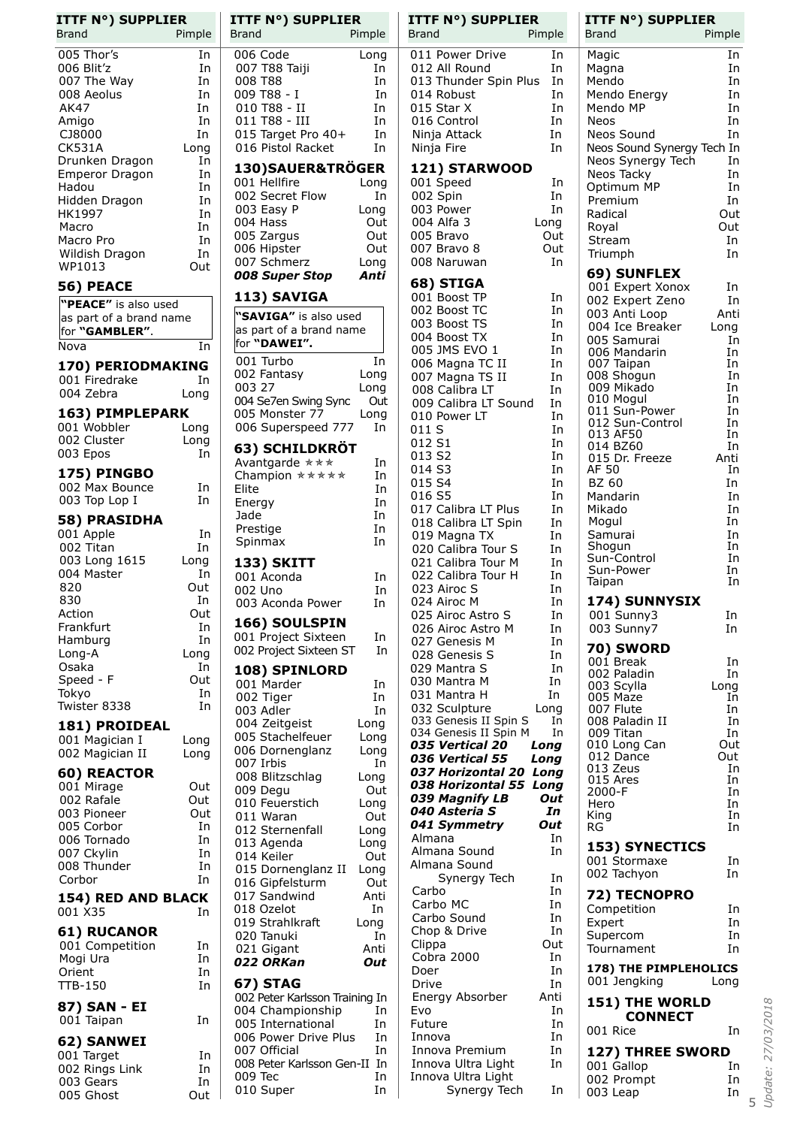| <b>ITTF N°) SUPPLIER</b><br><b>Brand</b> | Pimple     |
|------------------------------------------|------------|
|                                          |            |
| 005 Thor's                               | In         |
| 006 Blit'z                               | In         |
| 007 The Way                              | In         |
| 008 Aeolus                               | In         |
| AK47                                     | In         |
| Amigo                                    | In         |
| CJ8000<br><b>CK531A</b>                  | In         |
| Drunken Dragon                           | Long<br>In |
| <b>Emperor Dragon</b>                    | In         |
| Hadou                                    | In         |
| Hidden Dragon                            | In         |
| HK1997                                   | In         |
| Macro                                    | In         |
| Macro Pro                                | In         |
| Wildish Dragon                           | In         |
| WP1013                                   | Out        |
| 56) PEACE                                |            |
| "PEACE" is also used                     |            |
| as part of a brand name                  |            |
| for "GAMBLER".                           |            |
| Nova                                     | In         |
|                                          |            |
| 170) PERIODMAKING                        |            |
| 001 Firedrake                            | In         |
| 004 Zebra                                | Long       |
| 163) PIMPLEPARK                          |            |
| 001 Wobbler                              | Long       |
| 002 Cluster                              | Long       |
| 003 Epos                                 | In         |
| 175) PINGBO                              |            |
| 002 Max Bounce                           | In         |
| 003 Top Lop I                            | In         |
|                                          |            |
| 58) PRASIDHA                             |            |
| 001 Apple<br>002 Titan                   | In<br>In   |
|                                          |            |
| 003 Long 1615<br>004 Master              | Long<br>In |
| 820                                      | Out        |
| 830                                      | In         |
| Action                                   | Out        |
| Frankfurt                                | In         |
| Hamburg                                  | In         |
| Long-A                                   | Long       |
| Osaka                                    | In         |
| Speed - F                                | Out        |
| Tokyo                                    | In         |
| Twister 8338                             | In         |
| 181) PROIDEAL                            |            |
| 001 Magician I                           | Long       |
| 002 Magician II                          | Long       |
|                                          |            |
| <b>60) REACTOR</b><br>001 Mirage         |            |
| 002 Rafale                               | Out<br>Out |
| 003 Pioneer                              | Out        |
| 005 Corbor                               | In         |
| 006 Tornado                              | In         |
| 007 Ckylin                               | In         |
| 008 Thunder                              | In         |
| Corbor                                   | In         |
| <b>154) RED AND BLACK</b>                |            |
| 001 X35                                  | In         |
|                                          |            |
| <b>61) RUCANOR</b>                       |            |
| 001 Competition                          | In         |
| Mogi Ura                                 | In         |
| Orient<br>TTB-150                        | In<br>In   |
|                                          |            |
| 87) SAN - EI                             |            |
| 001 Taipan                               | In         |
| 62) SANWEI                               |            |
| 001 Target                               | In         |
| 002 Rings Link                           | In         |
| 003 Gears                                | In         |
| 005 Ghost                                | Out        |

| <b>ITTF N°) SUPPLIER</b><br>Brand                | Pimple       |
|--------------------------------------------------|--------------|
| 006 Code                                         | Long         |
| 007 T88 Taiji                                    | In           |
| 008 T88                                          | In           |
| 009 T88 - I<br>010 T88 - II                      | In<br>In     |
| 011 T88 - III                                    | In           |
| 011 155<br>015 Target Pro 40+                    | In           |
| 016 Pistol Racket                                | In           |
| 130)SAUER&TRÖGER<br>001 Hellfire                 |              |
| 002 Secret Flow                                  | Long<br>In   |
| 003 Easy P                                       | Long         |
| 004 Hass                                         | Out          |
| 005 Zargus<br>006 Hipster                        | Out<br>Out   |
| 007 Schmerz                                      | Long         |
| <b>008 Super Stop</b>                            | Anti         |
| 113) SAVIGA                                      |              |
| "SAVIGA" is also used<br>as part of a brand name |              |
| for "DAWEI".                                     |              |
| 001 Turbo                                        | In           |
| 002 Fantasy<br>003 27                            | Long<br>Long |
| 004 Se7en Swing Sync                             | Out          |
| 005 Monster 77                                   | Long         |
| 006 Superspeed 777                               | In           |
| 63) SCHILDKRÖT                                   |              |
| Avantgarde ***<br>Champion *****                 | In<br>In     |
| Elite                                            | In           |
| Energy                                           | In           |
| Jade<br>Prestige                                 | In<br>In     |
| Spinmax                                          | In           |
| 133) SKITT                                       |              |
| 001 Aconda                                       | In           |
| 002 Uno<br>003 Aconda Power                      | In<br>In     |
| 166) SOULSPIN                                    |              |
| 001 Project Sixteen                              | In           |
| 002 Project Sixteen ST                           | In           |
| 108) SPINLORD                                    |              |
| 001 Marder<br>002 Tiger                          | In           |
| 003 Adler                                        | In<br>In     |
| 004 Zeitgeist<br>005 Stachelfeuer                | Long         |
|                                                  | Long         |
| 006 Dornenglanz                                  | Long<br>In   |
| 007 Irbis<br>008 Blitzschlag                     | Long         |
| 009 Degu                                         | Out          |
| 010 Feuerstich<br>011 Waran                      | Long<br>Out  |
| 012 Sternenfall                                  | Long         |
| 013 Agenda                                       | Long         |
| 014 Keiler<br>015 Dornenglanz II                 | Out<br>Long  |
| 016 Gipfelsturm                                  | Out          |
| 017 Sandwind                                     | Anti         |
| 018 Ozelot<br>019 Strahlkraft                    | In<br>Long   |
| 020 Tanuki                                       | In           |
| 021 Gigant                                       | Anti         |
| 022 ORKan                                        | Out          |
| 67) STAG<br>002 Peter Karlsson Training In       |              |
| 004 Championship                                 | In           |
| 005 International                                | In           |
| 006 Power Drive Plus<br>007 Official             | In<br>In     |
| 008 Peter Karlsson Gen-II                        | In           |
| 009 Tec<br>010 Super                             | In<br>In     |
|                                                  |              |

| <b>ITTF N°) SUPPLIER</b>                         | <b>ITTF N°) SUPPLIER</b>              |
|--------------------------------------------------|---------------------------------------|
| Brand                                            | Brand                                 |
| Pimple                                           | Pimple                                |
| 011 Power Drive                                  | Magic                                 |
| In                                               | In                                    |
| 012 All Round                                    | In                                    |
| In                                               | Magna                                 |
| 013 Thunder Spin Plus                            | In                                    |
| In                                               | Mendo                                 |
| 014 Robust                                       | In                                    |
| In                                               | Mendo Energy                          |
| 015 Star X                                       | In                                    |
| In                                               | Mendo MP                              |
| In                                               | In                                    |
| 016 Control                                      | <b>Neos</b>                           |
| Ninja Attack                                     | Neos Sound                            |
| In                                               | In                                    |
| In                                               | Neos Sound Synergy Tech In            |
| Ninja Fire                                       | In                                    |
| <b>121) STARWOOD</b>                             | Neos Synergy Tech<br>In<br>Neos Tacky |
| 001 Speed                                        | In                                    |
| In                                               | Optimum MP                            |
| 002 Spin                                         | In                                    |
| In                                               | Premium                               |
| In                                               | Radical                               |
| 003 Power                                        | Out                                   |
| 004 Alfa 3                                       | Out                                   |
| Long                                             | Royal                                 |
| 005 Bravo                                        | In                                    |
| Out                                              | Stream                                |
| 007 Bravo 8                                      | In                                    |
| Out                                              | Triumph                               |
| 008 Naruwan<br>In                                | 69) SUNFLEX                           |
| 68) STIGA                                        | 001 Expert Xonox<br>In                |
| 001 Boost TP                                     | 002 Expert Zeno                       |
| In                                               | In                                    |
| In                                               | 003 Anti Loop                         |
| 002 Boost TC                                     | Anti                                  |
| 003 Boost TS                                     | 004 Ice Breaker                       |
| In                                               | Long                                  |
| In                                               | 005 Samurai                           |
| 004 Boost TX                                     | In                                    |
| 005 JMS EVO 1                                    | 006 Mandarin                          |
| In                                               | In                                    |
| 006 Magna TC II                                  | 007 Taipan                            |
| In                                               | In                                    |
| 007 Magna TS II                                  | 008 Shogun                            |
| In                                               | In                                    |
| 008 Calibra LT<br>In                             | 009 Mikado<br>In<br>In<br>010 Mogul   |
| 009 Calibra LT Sound                             | 011 Sun-Power                         |
| In                                               | In                                    |
| In                                               | 012 Sun-Control                       |
| 010 Power LT                                     | In                                    |
| 011 S                                            | 013 AF50                              |
| In                                               | In                                    |
| 012 S1<br>In<br>In                               | In<br>014 BZ60                        |
| 013 S2                                           | 015 Dr. Freeze                        |
| 014 S3                                           | Anti                                  |
| In                                               | In                                    |
| 015 S4<br>In                                     | AF 50<br>BZ 60<br>In                  |
| 016 S5                                           | Mandarin                              |
| In                                               | In                                    |
| 017 Calibra LT Plus                              | In                                    |
| In                                               | Mikado                                |
| 018 Calibra LT Spin                              | In                                    |
| In                                               | Mogul                                 |
| 019 Magna TX                                     | In                                    |
| In                                               | Samurai                               |
| 020 Calibra Tour S                               | Shogun                                |
| In                                               | In                                    |
| 021 Calibra Tour M                               | In                                    |
| In                                               | Sun-Control                           |
| 022 Calibra Tour H<br>In                         | In<br>Sun-Power<br>In<br>Taipan       |
| 023 Airoc S<br>In                                |                                       |
| 024 Airoc M<br>In                                | 174) SUNNYSIX                         |
| 025 Airoc Astro S                                | 001 Sunny3                            |
| In                                               | In                                    |
| 026 Airoc Astro M                                | 003 Sunny7                            |
| In                                               | In                                    |
| 027 Genesis M<br>In<br>028 Genesis S             | 70) SWORD                             |
| In<br>029 Mantra S<br>In                         | 001 Break<br>In                       |
| 030 Mantra M                                     | 002 Paladin                           |
| In                                               | In                                    |
| 031 Mantra H                                     | 003 Scylla                            |
| In                                               | Long                                  |
| 032 Sculpture<br>Long                            | 005 Maze<br>In.<br>007 Flute<br>In    |
| 033 Genesis II Spin S                            | 008 Paladin II                        |
| In                                               | In                                    |
| 034 Genesis II Spin M                            | In                                    |
| In                                               | 009 Titan                             |
| 035 Vertical 20                                  | 010 Long Can                          |
| Long                                             | Out                                   |
| 036 Vertical 55                                  | 012 Dance                             |
| Long                                             | Out                                   |
| 037 Horizontal 20<br>Long                        | 013 Zeus<br>In<br>015 Ares<br>In      |
| 038 Horizontal 55                                | In                                    |
| Long                                             | 2000-F                                |
| 039 Magnify LB                                   | In                                    |
| Out                                              | Hero                                  |
| 040 Asteria S                                    | In                                    |
| In                                               | King                                  |
| 041 Symmetry<br>Out<br>Almana<br>In              | RG<br>In                              |
| Almana Sound<br>In                               | <b>153) SYNECTICS</b>                 |
| Almana Sound                                     | 001 Stormaxe<br>In                    |
| In                                               | 002 Tachyon                           |
| Synergy Tech                                     | In                                    |
| Carbo<br>In                                      |                                       |
| Carbo MC<br>In                                   | 72) TECNOPRO                          |
| Carbo Sound                                      | Competition                           |
| In                                               | In                                    |
| In<br>Chop & Drive                               | In<br>Expert<br>In                    |
| Out<br>Clippa                                    | Supercom<br>In<br>Tournament          |
| In<br>Cobra 2000                                 |                                       |
| In<br>Doer                                       | 178) THE PIMPLEHOLICS                 |
| Drive                                            | 001 Jengking                          |
| In                                               | Long                                  |
| Anti<br>Energy Absorber                          | 151) THE WORLD                        |
| Evo<br>In                                        | <b>CONNECT</b>                        |
| In                                               | 001 Rice                              |
| Future                                           | In                                    |
| In<br>Innova                                     |                                       |
| Innova Premium<br>In<br>Innova Ultra Light<br>In | <b>127) THREE SWORD</b>               |
| Innova Ultra Light                               | 001 Gallop<br>In<br>In<br>002 Prompt  |
| Synergy Tech                                     | In                                    |
| In                                               | 003 Leap                              |
|                                                  |                                       |

5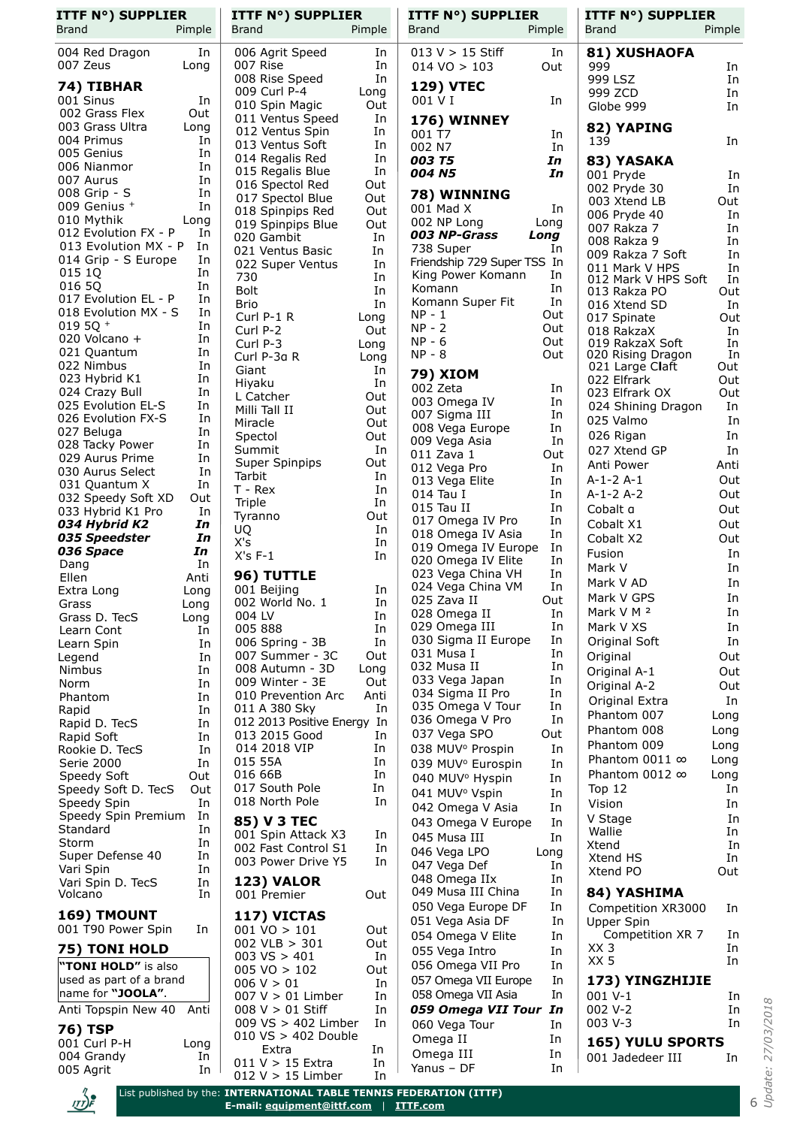| Pimple<br><b>Brand</b><br>Pimple<br><b>Brand</b><br>Brand<br>Pimple<br>Brand<br>$013 V > 15$ Stiff<br>004 Red Dragon<br>006 Agrit Speed<br>81) XUSHAOFA<br>In<br>In<br>In<br>007 Zeus<br>007 Rise<br>In<br>Long<br>999<br>$014 \text{ VO} > 103$<br>Out<br>008 Rise Speed<br>In<br>999 LSZ<br><b>129) VTEC</b><br>74) TIBHAR<br>009 Curl P-4<br>Long<br>999 ZCD<br>001 Sinus<br>001 V I<br>In<br>In<br>010 Spin Magic<br>Out<br>Globe 999<br>002 Grass Flex<br>Out<br>011 Ventus Speed<br>In<br>176) WINNEY<br>003 Grass Ultra<br>82) YAPING<br>Long<br>012 Ventus Spin<br>In<br>001 T7<br>In<br>004 Primus<br>In<br>139<br>013 Ventus Soft<br>In<br>002 N7<br>In<br>005 Genius<br>In<br>014 Regalis Red<br>In<br>003 T5<br>In<br>83) YASAKA<br>006 Nianmor<br>In<br>In<br>015 Regalis Blue<br>004 N5<br>In<br>001 Pryde<br>007 Aurus<br>In<br>016 Spectol Red<br>Out<br>002 Pryde 30<br>008 Grip - S<br>In<br>78) WINNING<br>017 Spectol Blue<br>Out<br>003 Xtend LB<br>009 Genius +<br>In<br>001 Mad X<br>In<br>Out<br>018 Spinpips Red<br>006 Pryde 40<br>010 Mythik<br>Long<br>002 NP Long<br>Long<br>Out<br>019 Spinpips Blue<br>007 Rakza 7<br>012 Evolution FX - P<br>In<br>003 NP-Grass<br>Long<br>020 Gambit<br>In<br>008 Rakza 9<br>013 Evolution MX - P<br>In<br>738 Super<br>In<br>021 Ventus Basic<br>In<br>009 Rakza 7 Soft<br>014 Grip - S Europe<br>In<br>Friendship 729 Super TSS In<br>022 Super Ventus<br>In<br>011 Mark V HPS<br>015 1Q<br>In<br>King Power Komann<br>In<br>730<br>In<br>012 Mark V HPS Soft<br>016 5Q<br>In<br>Komann<br>In<br><b>Bolt</b><br>In<br>013 Rakza PO<br>017 Evolution EL - P<br>In<br>In<br>Komann Super Fit<br>In<br>Brio<br>016 Xtend SD<br>018 Evolution MX - S<br>In<br>$NP - 1$<br>Out<br>Curl P-1 R<br>017 Spinate<br>Long<br>019 5Q $+$<br>In<br>NP - 2<br>Out<br>Curl P-2<br>Out<br>018 RakzaX<br>020 Volcano +<br>In<br>$NP - 6$<br>Out<br>019 RakzaX Soft<br>Curl P-3<br>Long<br>021 Quantum<br>In<br>$NP - 8$<br>Out<br>020 Rising Dragon<br>Curl P-3a R<br>Long<br>022 Nimbus<br>In<br>021 Large Claft<br>Giant<br>In<br><b>79) XIOM</b><br>023 Hybrid K1<br>In<br>022 Elfrark<br>In<br>Hiyaku<br>002 Zeta<br>In<br>024 Crazy Bull<br>In<br>023 Elfrark OX<br>L Catcher<br>Out<br>003 Omega IV<br>In<br>025 Evolution EL-S<br>In<br>024 Shining Dragon<br>Milli Tall II<br>Out<br>007 Sigma III<br>In<br>026 Evolution FX-S<br>In<br>025 Valmo<br>Out<br>Miracle<br>008 Vega Europe<br>In<br>027 Beluga<br>In<br>026 Rigan<br>Spectol<br>Out<br>009 Vega Asia<br>In<br>028 Tacky Power<br>In<br>In<br>Summit<br>027 Xtend GP<br>011 Zava 1<br>Out<br>029 Aurus Prime<br>In<br>Super Spinpips<br>Out<br>Anti Power<br>012 Vega Pro<br>In<br>030 Aurus Select<br>In<br>Tarbit<br>In<br>$A-1-2A-1$<br>013 Vega Elite<br>In<br>031 Quantum X<br>In<br>$T - Rex$<br>In<br>014 Tau I<br>$A-1-2A-2$<br>In<br>032 Speedy Soft XD<br>Out<br>Triple<br>In<br>015 Tau II<br>In<br>Cobalt a<br>033 Hybrid K1 Pro<br>In<br>Out<br>Tyranno<br>017 Omega IV Pro<br>In<br>034 Hybrid K2<br>Cobalt X1<br>In<br>UQ<br>In<br>018 Omega IV Asia<br>In<br>035 Speedster<br>In<br>Cobalt X2<br>X's<br>In<br>019 Omega IV Europe<br>In<br>036 Space<br>In<br>Fusion<br>$X's F-1$<br>In<br>020 Omega IV Elite<br>In<br>Dang<br>In<br>Mark V<br>023 Vega China VH<br>In<br>96) TUTTLE<br>Ellen<br>Anti<br>Mark V AD<br>024 Vega China VM<br>In<br>001 Beijing<br>In<br>Extra Long<br>Long<br>Mark V GPS<br>Out<br>025 Zava II<br>002 World No. 1<br>In<br>Grass<br>Long<br>Mark V M <sup>2</sup><br>028 Omega II<br>In<br>004 LV<br>In<br>Grass D. TecS<br>Long<br>029 Omega III<br>In<br>Mark V XS<br>005 888<br>In<br>Learn Cont<br>In<br>030 Sigma II Europe<br>In<br>Original Soft<br>In<br>006 Spring - 3B<br>Learn Spin<br>In<br>031 Musa I<br>In<br>007 Summer - 3C<br>Out<br>Original<br>Legend<br>In<br>032 Musa II<br>In<br>008 Autumn - 3D<br>Long<br>Nimbus<br>In<br>Original A-1<br>033 Vega Japan<br>In<br>009 Winter - 3E<br>Out<br>Norm<br>In<br>Original A-2<br>034 Sigma II Pro<br>In<br>Anti<br>010 Prevention Arc<br>Phantom<br>In<br>Original Extra<br>035 Omega V Tour<br>In<br>011 A 380 Sky<br>In<br>Rapid<br>In<br>Phantom 007<br>036 Omega V Pro<br>In<br>012 2013 Positive Energy In<br>Rapid D. TecS<br>In<br>Phantom 008<br>037 Vega SPO<br>Out<br>013 2015 Good<br>In<br>Rapid Soft<br>In<br>Phantom 009<br>014 2018 VIP<br>In<br>038 MUV <sup>o</sup> Prospin<br>In<br>Rookie D. TecS<br>In<br>Phantom 0011 $\infty$<br>015 55A<br>In<br>Serie 2000<br>In<br>039 MUV <sup>°</sup> Eurospin<br>In<br>Phantom 0012 $\infty$<br>016 66B<br>In<br>Speedy Soft<br>Out<br>040 MUV <sup>°</sup> Hyspin<br>In<br>017 South Pole<br>In<br>Top 12<br>Speedy Soft D. TecS<br>Out<br>041 MUV <sup>o</sup> Vspin<br>In<br>018 North Pole<br>In<br>Speedy Spin<br>In<br>Vision<br>042 Omega V Asia<br>In<br>Speedy Spin Premium<br>In<br>V Stage<br>85) V 3 TEC<br>043 Omega V Europe<br>In<br>Standard<br>In<br>Wallie<br>001 Spin Attack X3<br>In<br>045 Musa III<br>In<br>Storm<br>In<br>Xtend<br>002 Fast Control S1<br>In<br>046 Vega LPO<br>Long<br>Super Defense 40<br>In<br>Xtend HS<br>003 Power Drive Y5<br>In<br>047 Vega Def<br>In<br>Vari Spin<br>In<br>Xtend PO<br>048 Omega IIx<br>In<br><b>123) VALOR</b><br>Vari Spin D. TecS<br>In<br>049 Musa III China<br>In<br>84) YASHIMA<br>In<br>Volcano<br>001 Premier<br>Out<br>050 Vega Europe DF<br>In<br>Competition XR3000 | <b>ITTF N°) SUPPLIER</b><br>Pimple |
|-----------------------------------------------------------------------------------------------------------------------------------------------------------------------------------------------------------------------------------------------------------------------------------------------------------------------------------------------------------------------------------------------------------------------------------------------------------------------------------------------------------------------------------------------------------------------------------------------------------------------------------------------------------------------------------------------------------------------------------------------------------------------------------------------------------------------------------------------------------------------------------------------------------------------------------------------------------------------------------------------------------------------------------------------------------------------------------------------------------------------------------------------------------------------------------------------------------------------------------------------------------------------------------------------------------------------------------------------------------------------------------------------------------------------------------------------------------------------------------------------------------------------------------------------------------------------------------------------------------------------------------------------------------------------------------------------------------------------------------------------------------------------------------------------------------------------------------------------------------------------------------------------------------------------------------------------------------------------------------------------------------------------------------------------------------------------------------------------------------------------------------------------------------------------------------------------------------------------------------------------------------------------------------------------------------------------------------------------------------------------------------------------------------------------------------------------------------------------------------------------------------------------------------------------------------------------------------------------------------------------------------------------------------------------------------------------------------------------------------------------------------------------------------------------------------------------------------------------------------------------------------------------------------------------------------------------------------------------------------------------------------------------------------------------------------------------------------------------------------------------------------------------------------------------------------------------------------------------------------------------------------------------------------------------------------------------------------------------------------------------------------------------------------------------------------------------------------------------------------------------------------------------------------------------------------------------------------------------------------------------------------------------------------------------------------------------------------------------------------------------------------------------------------------------------------------------------------------------------------------------------------------------------------------------------------------------------------------------------------------------------------------------------------------------------------------------------------------------------------------------------------------------------------------------------------------------------------------------------------------------------------------------------------------------------------------------------------------------------------------------------------------------------------------------------------------------------------------------------------------------------------------------------------------------------------------------------------------------------------------------------------------------------------------------------------------------------------------------------------------------------------------------------------------------------------------------------------------------------------------------------------------------------------------------------------------------------------------------------------------------------------------------------------------------------------------------------------------------------------------------------------------------------------------------------------------------------------------------------------------------------------------------------------------------------------------------------------------------------------------------------------------------------------------------------------------------|------------------------------------|
|                                                                                                                                                                                                                                                                                                                                                                                                                                                                                                                                                                                                                                                                                                                                                                                                                                                                                                                                                                                                                                                                                                                                                                                                                                                                                                                                                                                                                                                                                                                                                                                                                                                                                                                                                                                                                                                                                                                                                                                                                                                                                                                                                                                                                                                                                                                                                                                                                                                                                                                                                                                                                                                                                                                                                                                                                                                                                                                                                                                                                                                                                                                                                                                                                                                                                                                                                                                                                                                                                                                                                                                                                                                                                                                                                                                                                                                                                                                                                                                                                                                                                                                                                                                                                                                                                                                                                                                                                                                                                                                                                                                                                                                                                                                                                                                                                                                                                                                                                                                                                                                                                                                                                                                                                                                                                                                                                                                                                                               |                                    |
|                                                                                                                                                                                                                                                                                                                                                                                                                                                                                                                                                                                                                                                                                                                                                                                                                                                                                                                                                                                                                                                                                                                                                                                                                                                                                                                                                                                                                                                                                                                                                                                                                                                                                                                                                                                                                                                                                                                                                                                                                                                                                                                                                                                                                                                                                                                                                                                                                                                                                                                                                                                                                                                                                                                                                                                                                                                                                                                                                                                                                                                                                                                                                                                                                                                                                                                                                                                                                                                                                                                                                                                                                                                                                                                                                                                                                                                                                                                                                                                                                                                                                                                                                                                                                                                                                                                                                                                                                                                                                                                                                                                                                                                                                                                                                                                                                                                                                                                                                                                                                                                                                                                                                                                                                                                                                                                                                                                                                                               | In                                 |
|                                                                                                                                                                                                                                                                                                                                                                                                                                                                                                                                                                                                                                                                                                                                                                                                                                                                                                                                                                                                                                                                                                                                                                                                                                                                                                                                                                                                                                                                                                                                                                                                                                                                                                                                                                                                                                                                                                                                                                                                                                                                                                                                                                                                                                                                                                                                                                                                                                                                                                                                                                                                                                                                                                                                                                                                                                                                                                                                                                                                                                                                                                                                                                                                                                                                                                                                                                                                                                                                                                                                                                                                                                                                                                                                                                                                                                                                                                                                                                                                                                                                                                                                                                                                                                                                                                                                                                                                                                                                                                                                                                                                                                                                                                                                                                                                                                                                                                                                                                                                                                                                                                                                                                                                                                                                                                                                                                                                                                               | In                                 |
|                                                                                                                                                                                                                                                                                                                                                                                                                                                                                                                                                                                                                                                                                                                                                                                                                                                                                                                                                                                                                                                                                                                                                                                                                                                                                                                                                                                                                                                                                                                                                                                                                                                                                                                                                                                                                                                                                                                                                                                                                                                                                                                                                                                                                                                                                                                                                                                                                                                                                                                                                                                                                                                                                                                                                                                                                                                                                                                                                                                                                                                                                                                                                                                                                                                                                                                                                                                                                                                                                                                                                                                                                                                                                                                                                                                                                                                                                                                                                                                                                                                                                                                                                                                                                                                                                                                                                                                                                                                                                                                                                                                                                                                                                                                                                                                                                                                                                                                                                                                                                                                                                                                                                                                                                                                                                                                                                                                                                                               | In                                 |
|                                                                                                                                                                                                                                                                                                                                                                                                                                                                                                                                                                                                                                                                                                                                                                                                                                                                                                                                                                                                                                                                                                                                                                                                                                                                                                                                                                                                                                                                                                                                                                                                                                                                                                                                                                                                                                                                                                                                                                                                                                                                                                                                                                                                                                                                                                                                                                                                                                                                                                                                                                                                                                                                                                                                                                                                                                                                                                                                                                                                                                                                                                                                                                                                                                                                                                                                                                                                                                                                                                                                                                                                                                                                                                                                                                                                                                                                                                                                                                                                                                                                                                                                                                                                                                                                                                                                                                                                                                                                                                                                                                                                                                                                                                                                                                                                                                                                                                                                                                                                                                                                                                                                                                                                                                                                                                                                                                                                                                               | In                                 |
|                                                                                                                                                                                                                                                                                                                                                                                                                                                                                                                                                                                                                                                                                                                                                                                                                                                                                                                                                                                                                                                                                                                                                                                                                                                                                                                                                                                                                                                                                                                                                                                                                                                                                                                                                                                                                                                                                                                                                                                                                                                                                                                                                                                                                                                                                                                                                                                                                                                                                                                                                                                                                                                                                                                                                                                                                                                                                                                                                                                                                                                                                                                                                                                                                                                                                                                                                                                                                                                                                                                                                                                                                                                                                                                                                                                                                                                                                                                                                                                                                                                                                                                                                                                                                                                                                                                                                                                                                                                                                                                                                                                                                                                                                                                                                                                                                                                                                                                                                                                                                                                                                                                                                                                                                                                                                                                                                                                                                                               |                                    |
|                                                                                                                                                                                                                                                                                                                                                                                                                                                                                                                                                                                                                                                                                                                                                                                                                                                                                                                                                                                                                                                                                                                                                                                                                                                                                                                                                                                                                                                                                                                                                                                                                                                                                                                                                                                                                                                                                                                                                                                                                                                                                                                                                                                                                                                                                                                                                                                                                                                                                                                                                                                                                                                                                                                                                                                                                                                                                                                                                                                                                                                                                                                                                                                                                                                                                                                                                                                                                                                                                                                                                                                                                                                                                                                                                                                                                                                                                                                                                                                                                                                                                                                                                                                                                                                                                                                                                                                                                                                                                                                                                                                                                                                                                                                                                                                                                                                                                                                                                                                                                                                                                                                                                                                                                                                                                                                                                                                                                                               | In                                 |
|                                                                                                                                                                                                                                                                                                                                                                                                                                                                                                                                                                                                                                                                                                                                                                                                                                                                                                                                                                                                                                                                                                                                                                                                                                                                                                                                                                                                                                                                                                                                                                                                                                                                                                                                                                                                                                                                                                                                                                                                                                                                                                                                                                                                                                                                                                                                                                                                                                                                                                                                                                                                                                                                                                                                                                                                                                                                                                                                                                                                                                                                                                                                                                                                                                                                                                                                                                                                                                                                                                                                                                                                                                                                                                                                                                                                                                                                                                                                                                                                                                                                                                                                                                                                                                                                                                                                                                                                                                                                                                                                                                                                                                                                                                                                                                                                                                                                                                                                                                                                                                                                                                                                                                                                                                                                                                                                                                                                                                               |                                    |
|                                                                                                                                                                                                                                                                                                                                                                                                                                                                                                                                                                                                                                                                                                                                                                                                                                                                                                                                                                                                                                                                                                                                                                                                                                                                                                                                                                                                                                                                                                                                                                                                                                                                                                                                                                                                                                                                                                                                                                                                                                                                                                                                                                                                                                                                                                                                                                                                                                                                                                                                                                                                                                                                                                                                                                                                                                                                                                                                                                                                                                                                                                                                                                                                                                                                                                                                                                                                                                                                                                                                                                                                                                                                                                                                                                                                                                                                                                                                                                                                                                                                                                                                                                                                                                                                                                                                                                                                                                                                                                                                                                                                                                                                                                                                                                                                                                                                                                                                                                                                                                                                                                                                                                                                                                                                                                                                                                                                                                               | In                                 |
|                                                                                                                                                                                                                                                                                                                                                                                                                                                                                                                                                                                                                                                                                                                                                                                                                                                                                                                                                                                                                                                                                                                                                                                                                                                                                                                                                                                                                                                                                                                                                                                                                                                                                                                                                                                                                                                                                                                                                                                                                                                                                                                                                                                                                                                                                                                                                                                                                                                                                                                                                                                                                                                                                                                                                                                                                                                                                                                                                                                                                                                                                                                                                                                                                                                                                                                                                                                                                                                                                                                                                                                                                                                                                                                                                                                                                                                                                                                                                                                                                                                                                                                                                                                                                                                                                                                                                                                                                                                                                                                                                                                                                                                                                                                                                                                                                                                                                                                                                                                                                                                                                                                                                                                                                                                                                                                                                                                                                                               | In                                 |
|                                                                                                                                                                                                                                                                                                                                                                                                                                                                                                                                                                                                                                                                                                                                                                                                                                                                                                                                                                                                                                                                                                                                                                                                                                                                                                                                                                                                                                                                                                                                                                                                                                                                                                                                                                                                                                                                                                                                                                                                                                                                                                                                                                                                                                                                                                                                                                                                                                                                                                                                                                                                                                                                                                                                                                                                                                                                                                                                                                                                                                                                                                                                                                                                                                                                                                                                                                                                                                                                                                                                                                                                                                                                                                                                                                                                                                                                                                                                                                                                                                                                                                                                                                                                                                                                                                                                                                                                                                                                                                                                                                                                                                                                                                                                                                                                                                                                                                                                                                                                                                                                                                                                                                                                                                                                                                                                                                                                                                               | Out                                |
|                                                                                                                                                                                                                                                                                                                                                                                                                                                                                                                                                                                                                                                                                                                                                                                                                                                                                                                                                                                                                                                                                                                                                                                                                                                                                                                                                                                                                                                                                                                                                                                                                                                                                                                                                                                                                                                                                                                                                                                                                                                                                                                                                                                                                                                                                                                                                                                                                                                                                                                                                                                                                                                                                                                                                                                                                                                                                                                                                                                                                                                                                                                                                                                                                                                                                                                                                                                                                                                                                                                                                                                                                                                                                                                                                                                                                                                                                                                                                                                                                                                                                                                                                                                                                                                                                                                                                                                                                                                                                                                                                                                                                                                                                                                                                                                                                                                                                                                                                                                                                                                                                                                                                                                                                                                                                                                                                                                                                                               | In                                 |
|                                                                                                                                                                                                                                                                                                                                                                                                                                                                                                                                                                                                                                                                                                                                                                                                                                                                                                                                                                                                                                                                                                                                                                                                                                                                                                                                                                                                                                                                                                                                                                                                                                                                                                                                                                                                                                                                                                                                                                                                                                                                                                                                                                                                                                                                                                                                                                                                                                                                                                                                                                                                                                                                                                                                                                                                                                                                                                                                                                                                                                                                                                                                                                                                                                                                                                                                                                                                                                                                                                                                                                                                                                                                                                                                                                                                                                                                                                                                                                                                                                                                                                                                                                                                                                                                                                                                                                                                                                                                                                                                                                                                                                                                                                                                                                                                                                                                                                                                                                                                                                                                                                                                                                                                                                                                                                                                                                                                                                               | In                                 |
|                                                                                                                                                                                                                                                                                                                                                                                                                                                                                                                                                                                                                                                                                                                                                                                                                                                                                                                                                                                                                                                                                                                                                                                                                                                                                                                                                                                                                                                                                                                                                                                                                                                                                                                                                                                                                                                                                                                                                                                                                                                                                                                                                                                                                                                                                                                                                                                                                                                                                                                                                                                                                                                                                                                                                                                                                                                                                                                                                                                                                                                                                                                                                                                                                                                                                                                                                                                                                                                                                                                                                                                                                                                                                                                                                                                                                                                                                                                                                                                                                                                                                                                                                                                                                                                                                                                                                                                                                                                                                                                                                                                                                                                                                                                                                                                                                                                                                                                                                                                                                                                                                                                                                                                                                                                                                                                                                                                                                                               | In                                 |
|                                                                                                                                                                                                                                                                                                                                                                                                                                                                                                                                                                                                                                                                                                                                                                                                                                                                                                                                                                                                                                                                                                                                                                                                                                                                                                                                                                                                                                                                                                                                                                                                                                                                                                                                                                                                                                                                                                                                                                                                                                                                                                                                                                                                                                                                                                                                                                                                                                                                                                                                                                                                                                                                                                                                                                                                                                                                                                                                                                                                                                                                                                                                                                                                                                                                                                                                                                                                                                                                                                                                                                                                                                                                                                                                                                                                                                                                                                                                                                                                                                                                                                                                                                                                                                                                                                                                                                                                                                                                                                                                                                                                                                                                                                                                                                                                                                                                                                                                                                                                                                                                                                                                                                                                                                                                                                                                                                                                                                               | In                                 |
|                                                                                                                                                                                                                                                                                                                                                                                                                                                                                                                                                                                                                                                                                                                                                                                                                                                                                                                                                                                                                                                                                                                                                                                                                                                                                                                                                                                                                                                                                                                                                                                                                                                                                                                                                                                                                                                                                                                                                                                                                                                                                                                                                                                                                                                                                                                                                                                                                                                                                                                                                                                                                                                                                                                                                                                                                                                                                                                                                                                                                                                                                                                                                                                                                                                                                                                                                                                                                                                                                                                                                                                                                                                                                                                                                                                                                                                                                                                                                                                                                                                                                                                                                                                                                                                                                                                                                                                                                                                                                                                                                                                                                                                                                                                                                                                                                                                                                                                                                                                                                                                                                                                                                                                                                                                                                                                                                                                                                                               | In<br>In                           |
|                                                                                                                                                                                                                                                                                                                                                                                                                                                                                                                                                                                                                                                                                                                                                                                                                                                                                                                                                                                                                                                                                                                                                                                                                                                                                                                                                                                                                                                                                                                                                                                                                                                                                                                                                                                                                                                                                                                                                                                                                                                                                                                                                                                                                                                                                                                                                                                                                                                                                                                                                                                                                                                                                                                                                                                                                                                                                                                                                                                                                                                                                                                                                                                                                                                                                                                                                                                                                                                                                                                                                                                                                                                                                                                                                                                                                                                                                                                                                                                                                                                                                                                                                                                                                                                                                                                                                                                                                                                                                                                                                                                                                                                                                                                                                                                                                                                                                                                                                                                                                                                                                                                                                                                                                                                                                                                                                                                                                                               | Out                                |
|                                                                                                                                                                                                                                                                                                                                                                                                                                                                                                                                                                                                                                                                                                                                                                                                                                                                                                                                                                                                                                                                                                                                                                                                                                                                                                                                                                                                                                                                                                                                                                                                                                                                                                                                                                                                                                                                                                                                                                                                                                                                                                                                                                                                                                                                                                                                                                                                                                                                                                                                                                                                                                                                                                                                                                                                                                                                                                                                                                                                                                                                                                                                                                                                                                                                                                                                                                                                                                                                                                                                                                                                                                                                                                                                                                                                                                                                                                                                                                                                                                                                                                                                                                                                                                                                                                                                                                                                                                                                                                                                                                                                                                                                                                                                                                                                                                                                                                                                                                                                                                                                                                                                                                                                                                                                                                                                                                                                                                               | In                                 |
|                                                                                                                                                                                                                                                                                                                                                                                                                                                                                                                                                                                                                                                                                                                                                                                                                                                                                                                                                                                                                                                                                                                                                                                                                                                                                                                                                                                                                                                                                                                                                                                                                                                                                                                                                                                                                                                                                                                                                                                                                                                                                                                                                                                                                                                                                                                                                                                                                                                                                                                                                                                                                                                                                                                                                                                                                                                                                                                                                                                                                                                                                                                                                                                                                                                                                                                                                                                                                                                                                                                                                                                                                                                                                                                                                                                                                                                                                                                                                                                                                                                                                                                                                                                                                                                                                                                                                                                                                                                                                                                                                                                                                                                                                                                                                                                                                                                                                                                                                                                                                                                                                                                                                                                                                                                                                                                                                                                                                                               | Out                                |
|                                                                                                                                                                                                                                                                                                                                                                                                                                                                                                                                                                                                                                                                                                                                                                                                                                                                                                                                                                                                                                                                                                                                                                                                                                                                                                                                                                                                                                                                                                                                                                                                                                                                                                                                                                                                                                                                                                                                                                                                                                                                                                                                                                                                                                                                                                                                                                                                                                                                                                                                                                                                                                                                                                                                                                                                                                                                                                                                                                                                                                                                                                                                                                                                                                                                                                                                                                                                                                                                                                                                                                                                                                                                                                                                                                                                                                                                                                                                                                                                                                                                                                                                                                                                                                                                                                                                                                                                                                                                                                                                                                                                                                                                                                                                                                                                                                                                                                                                                                                                                                                                                                                                                                                                                                                                                                                                                                                                                                               | In                                 |
|                                                                                                                                                                                                                                                                                                                                                                                                                                                                                                                                                                                                                                                                                                                                                                                                                                                                                                                                                                                                                                                                                                                                                                                                                                                                                                                                                                                                                                                                                                                                                                                                                                                                                                                                                                                                                                                                                                                                                                                                                                                                                                                                                                                                                                                                                                                                                                                                                                                                                                                                                                                                                                                                                                                                                                                                                                                                                                                                                                                                                                                                                                                                                                                                                                                                                                                                                                                                                                                                                                                                                                                                                                                                                                                                                                                                                                                                                                                                                                                                                                                                                                                                                                                                                                                                                                                                                                                                                                                                                                                                                                                                                                                                                                                                                                                                                                                                                                                                                                                                                                                                                                                                                                                                                                                                                                                                                                                                                                               | In<br>In                           |
|                                                                                                                                                                                                                                                                                                                                                                                                                                                                                                                                                                                                                                                                                                                                                                                                                                                                                                                                                                                                                                                                                                                                                                                                                                                                                                                                                                                                                                                                                                                                                                                                                                                                                                                                                                                                                                                                                                                                                                                                                                                                                                                                                                                                                                                                                                                                                                                                                                                                                                                                                                                                                                                                                                                                                                                                                                                                                                                                                                                                                                                                                                                                                                                                                                                                                                                                                                                                                                                                                                                                                                                                                                                                                                                                                                                                                                                                                                                                                                                                                                                                                                                                                                                                                                                                                                                                                                                                                                                                                                                                                                                                                                                                                                                                                                                                                                                                                                                                                                                                                                                                                                                                                                                                                                                                                                                                                                                                                                               | Out                                |
|                                                                                                                                                                                                                                                                                                                                                                                                                                                                                                                                                                                                                                                                                                                                                                                                                                                                                                                                                                                                                                                                                                                                                                                                                                                                                                                                                                                                                                                                                                                                                                                                                                                                                                                                                                                                                                                                                                                                                                                                                                                                                                                                                                                                                                                                                                                                                                                                                                                                                                                                                                                                                                                                                                                                                                                                                                                                                                                                                                                                                                                                                                                                                                                                                                                                                                                                                                                                                                                                                                                                                                                                                                                                                                                                                                                                                                                                                                                                                                                                                                                                                                                                                                                                                                                                                                                                                                                                                                                                                                                                                                                                                                                                                                                                                                                                                                                                                                                                                                                                                                                                                                                                                                                                                                                                                                                                                                                                                                               | Out                                |
|                                                                                                                                                                                                                                                                                                                                                                                                                                                                                                                                                                                                                                                                                                                                                                                                                                                                                                                                                                                                                                                                                                                                                                                                                                                                                                                                                                                                                                                                                                                                                                                                                                                                                                                                                                                                                                                                                                                                                                                                                                                                                                                                                                                                                                                                                                                                                                                                                                                                                                                                                                                                                                                                                                                                                                                                                                                                                                                                                                                                                                                                                                                                                                                                                                                                                                                                                                                                                                                                                                                                                                                                                                                                                                                                                                                                                                                                                                                                                                                                                                                                                                                                                                                                                                                                                                                                                                                                                                                                                                                                                                                                                                                                                                                                                                                                                                                                                                                                                                                                                                                                                                                                                                                                                                                                                                                                                                                                                                               | Out                                |
|                                                                                                                                                                                                                                                                                                                                                                                                                                                                                                                                                                                                                                                                                                                                                                                                                                                                                                                                                                                                                                                                                                                                                                                                                                                                                                                                                                                                                                                                                                                                                                                                                                                                                                                                                                                                                                                                                                                                                                                                                                                                                                                                                                                                                                                                                                                                                                                                                                                                                                                                                                                                                                                                                                                                                                                                                                                                                                                                                                                                                                                                                                                                                                                                                                                                                                                                                                                                                                                                                                                                                                                                                                                                                                                                                                                                                                                                                                                                                                                                                                                                                                                                                                                                                                                                                                                                                                                                                                                                                                                                                                                                                                                                                                                                                                                                                                                                                                                                                                                                                                                                                                                                                                                                                                                                                                                                                                                                                                               | In                                 |
|                                                                                                                                                                                                                                                                                                                                                                                                                                                                                                                                                                                                                                                                                                                                                                                                                                                                                                                                                                                                                                                                                                                                                                                                                                                                                                                                                                                                                                                                                                                                                                                                                                                                                                                                                                                                                                                                                                                                                                                                                                                                                                                                                                                                                                                                                                                                                                                                                                                                                                                                                                                                                                                                                                                                                                                                                                                                                                                                                                                                                                                                                                                                                                                                                                                                                                                                                                                                                                                                                                                                                                                                                                                                                                                                                                                                                                                                                                                                                                                                                                                                                                                                                                                                                                                                                                                                                                                                                                                                                                                                                                                                                                                                                                                                                                                                                                                                                                                                                                                                                                                                                                                                                                                                                                                                                                                                                                                                                                               | In                                 |
|                                                                                                                                                                                                                                                                                                                                                                                                                                                                                                                                                                                                                                                                                                                                                                                                                                                                                                                                                                                                                                                                                                                                                                                                                                                                                                                                                                                                                                                                                                                                                                                                                                                                                                                                                                                                                                                                                                                                                                                                                                                                                                                                                                                                                                                                                                                                                                                                                                                                                                                                                                                                                                                                                                                                                                                                                                                                                                                                                                                                                                                                                                                                                                                                                                                                                                                                                                                                                                                                                                                                                                                                                                                                                                                                                                                                                                                                                                                                                                                                                                                                                                                                                                                                                                                                                                                                                                                                                                                                                                                                                                                                                                                                                                                                                                                                                                                                                                                                                                                                                                                                                                                                                                                                                                                                                                                                                                                                                                               | In                                 |
|                                                                                                                                                                                                                                                                                                                                                                                                                                                                                                                                                                                                                                                                                                                                                                                                                                                                                                                                                                                                                                                                                                                                                                                                                                                                                                                                                                                                                                                                                                                                                                                                                                                                                                                                                                                                                                                                                                                                                                                                                                                                                                                                                                                                                                                                                                                                                                                                                                                                                                                                                                                                                                                                                                                                                                                                                                                                                                                                                                                                                                                                                                                                                                                                                                                                                                                                                                                                                                                                                                                                                                                                                                                                                                                                                                                                                                                                                                                                                                                                                                                                                                                                                                                                                                                                                                                                                                                                                                                                                                                                                                                                                                                                                                                                                                                                                                                                                                                                                                                                                                                                                                                                                                                                                                                                                                                                                                                                                                               | In                                 |
|                                                                                                                                                                                                                                                                                                                                                                                                                                                                                                                                                                                                                                                                                                                                                                                                                                                                                                                                                                                                                                                                                                                                                                                                                                                                                                                                                                                                                                                                                                                                                                                                                                                                                                                                                                                                                                                                                                                                                                                                                                                                                                                                                                                                                                                                                                                                                                                                                                                                                                                                                                                                                                                                                                                                                                                                                                                                                                                                                                                                                                                                                                                                                                                                                                                                                                                                                                                                                                                                                                                                                                                                                                                                                                                                                                                                                                                                                                                                                                                                                                                                                                                                                                                                                                                                                                                                                                                                                                                                                                                                                                                                                                                                                                                                                                                                                                                                                                                                                                                                                                                                                                                                                                                                                                                                                                                                                                                                                                               | Anti                               |
|                                                                                                                                                                                                                                                                                                                                                                                                                                                                                                                                                                                                                                                                                                                                                                                                                                                                                                                                                                                                                                                                                                                                                                                                                                                                                                                                                                                                                                                                                                                                                                                                                                                                                                                                                                                                                                                                                                                                                                                                                                                                                                                                                                                                                                                                                                                                                                                                                                                                                                                                                                                                                                                                                                                                                                                                                                                                                                                                                                                                                                                                                                                                                                                                                                                                                                                                                                                                                                                                                                                                                                                                                                                                                                                                                                                                                                                                                                                                                                                                                                                                                                                                                                                                                                                                                                                                                                                                                                                                                                                                                                                                                                                                                                                                                                                                                                                                                                                                                                                                                                                                                                                                                                                                                                                                                                                                                                                                                                               | Out                                |
|                                                                                                                                                                                                                                                                                                                                                                                                                                                                                                                                                                                                                                                                                                                                                                                                                                                                                                                                                                                                                                                                                                                                                                                                                                                                                                                                                                                                                                                                                                                                                                                                                                                                                                                                                                                                                                                                                                                                                                                                                                                                                                                                                                                                                                                                                                                                                                                                                                                                                                                                                                                                                                                                                                                                                                                                                                                                                                                                                                                                                                                                                                                                                                                                                                                                                                                                                                                                                                                                                                                                                                                                                                                                                                                                                                                                                                                                                                                                                                                                                                                                                                                                                                                                                                                                                                                                                                                                                                                                                                                                                                                                                                                                                                                                                                                                                                                                                                                                                                                                                                                                                                                                                                                                                                                                                                                                                                                                                                               | Out                                |
|                                                                                                                                                                                                                                                                                                                                                                                                                                                                                                                                                                                                                                                                                                                                                                                                                                                                                                                                                                                                                                                                                                                                                                                                                                                                                                                                                                                                                                                                                                                                                                                                                                                                                                                                                                                                                                                                                                                                                                                                                                                                                                                                                                                                                                                                                                                                                                                                                                                                                                                                                                                                                                                                                                                                                                                                                                                                                                                                                                                                                                                                                                                                                                                                                                                                                                                                                                                                                                                                                                                                                                                                                                                                                                                                                                                                                                                                                                                                                                                                                                                                                                                                                                                                                                                                                                                                                                                                                                                                                                                                                                                                                                                                                                                                                                                                                                                                                                                                                                                                                                                                                                                                                                                                                                                                                                                                                                                                                                               | Out                                |
|                                                                                                                                                                                                                                                                                                                                                                                                                                                                                                                                                                                                                                                                                                                                                                                                                                                                                                                                                                                                                                                                                                                                                                                                                                                                                                                                                                                                                                                                                                                                                                                                                                                                                                                                                                                                                                                                                                                                                                                                                                                                                                                                                                                                                                                                                                                                                                                                                                                                                                                                                                                                                                                                                                                                                                                                                                                                                                                                                                                                                                                                                                                                                                                                                                                                                                                                                                                                                                                                                                                                                                                                                                                                                                                                                                                                                                                                                                                                                                                                                                                                                                                                                                                                                                                                                                                                                                                                                                                                                                                                                                                                                                                                                                                                                                                                                                                                                                                                                                                                                                                                                                                                                                                                                                                                                                                                                                                                                                               | Out                                |
|                                                                                                                                                                                                                                                                                                                                                                                                                                                                                                                                                                                                                                                                                                                                                                                                                                                                                                                                                                                                                                                                                                                                                                                                                                                                                                                                                                                                                                                                                                                                                                                                                                                                                                                                                                                                                                                                                                                                                                                                                                                                                                                                                                                                                                                                                                                                                                                                                                                                                                                                                                                                                                                                                                                                                                                                                                                                                                                                                                                                                                                                                                                                                                                                                                                                                                                                                                                                                                                                                                                                                                                                                                                                                                                                                                                                                                                                                                                                                                                                                                                                                                                                                                                                                                                                                                                                                                                                                                                                                                                                                                                                                                                                                                                                                                                                                                                                                                                                                                                                                                                                                                                                                                                                                                                                                                                                                                                                                                               | Out                                |
|                                                                                                                                                                                                                                                                                                                                                                                                                                                                                                                                                                                                                                                                                                                                                                                                                                                                                                                                                                                                                                                                                                                                                                                                                                                                                                                                                                                                                                                                                                                                                                                                                                                                                                                                                                                                                                                                                                                                                                                                                                                                                                                                                                                                                                                                                                                                                                                                                                                                                                                                                                                                                                                                                                                                                                                                                                                                                                                                                                                                                                                                                                                                                                                                                                                                                                                                                                                                                                                                                                                                                                                                                                                                                                                                                                                                                                                                                                                                                                                                                                                                                                                                                                                                                                                                                                                                                                                                                                                                                                                                                                                                                                                                                                                                                                                                                                                                                                                                                                                                                                                                                                                                                                                                                                                                                                                                                                                                                                               | In                                 |
|                                                                                                                                                                                                                                                                                                                                                                                                                                                                                                                                                                                                                                                                                                                                                                                                                                                                                                                                                                                                                                                                                                                                                                                                                                                                                                                                                                                                                                                                                                                                                                                                                                                                                                                                                                                                                                                                                                                                                                                                                                                                                                                                                                                                                                                                                                                                                                                                                                                                                                                                                                                                                                                                                                                                                                                                                                                                                                                                                                                                                                                                                                                                                                                                                                                                                                                                                                                                                                                                                                                                                                                                                                                                                                                                                                                                                                                                                                                                                                                                                                                                                                                                                                                                                                                                                                                                                                                                                                                                                                                                                                                                                                                                                                                                                                                                                                                                                                                                                                                                                                                                                                                                                                                                                                                                                                                                                                                                                                               | In                                 |
|                                                                                                                                                                                                                                                                                                                                                                                                                                                                                                                                                                                                                                                                                                                                                                                                                                                                                                                                                                                                                                                                                                                                                                                                                                                                                                                                                                                                                                                                                                                                                                                                                                                                                                                                                                                                                                                                                                                                                                                                                                                                                                                                                                                                                                                                                                                                                                                                                                                                                                                                                                                                                                                                                                                                                                                                                                                                                                                                                                                                                                                                                                                                                                                                                                                                                                                                                                                                                                                                                                                                                                                                                                                                                                                                                                                                                                                                                                                                                                                                                                                                                                                                                                                                                                                                                                                                                                                                                                                                                                                                                                                                                                                                                                                                                                                                                                                                                                                                                                                                                                                                                                                                                                                                                                                                                                                                                                                                                                               | In                                 |
|                                                                                                                                                                                                                                                                                                                                                                                                                                                                                                                                                                                                                                                                                                                                                                                                                                                                                                                                                                                                                                                                                                                                                                                                                                                                                                                                                                                                                                                                                                                                                                                                                                                                                                                                                                                                                                                                                                                                                                                                                                                                                                                                                                                                                                                                                                                                                                                                                                                                                                                                                                                                                                                                                                                                                                                                                                                                                                                                                                                                                                                                                                                                                                                                                                                                                                                                                                                                                                                                                                                                                                                                                                                                                                                                                                                                                                                                                                                                                                                                                                                                                                                                                                                                                                                                                                                                                                                                                                                                                                                                                                                                                                                                                                                                                                                                                                                                                                                                                                                                                                                                                                                                                                                                                                                                                                                                                                                                                                               | In                                 |
|                                                                                                                                                                                                                                                                                                                                                                                                                                                                                                                                                                                                                                                                                                                                                                                                                                                                                                                                                                                                                                                                                                                                                                                                                                                                                                                                                                                                                                                                                                                                                                                                                                                                                                                                                                                                                                                                                                                                                                                                                                                                                                                                                                                                                                                                                                                                                                                                                                                                                                                                                                                                                                                                                                                                                                                                                                                                                                                                                                                                                                                                                                                                                                                                                                                                                                                                                                                                                                                                                                                                                                                                                                                                                                                                                                                                                                                                                                                                                                                                                                                                                                                                                                                                                                                                                                                                                                                                                                                                                                                                                                                                                                                                                                                                                                                                                                                                                                                                                                                                                                                                                                                                                                                                                                                                                                                                                                                                                                               | In                                 |
|                                                                                                                                                                                                                                                                                                                                                                                                                                                                                                                                                                                                                                                                                                                                                                                                                                                                                                                                                                                                                                                                                                                                                                                                                                                                                                                                                                                                                                                                                                                                                                                                                                                                                                                                                                                                                                                                                                                                                                                                                                                                                                                                                                                                                                                                                                                                                                                                                                                                                                                                                                                                                                                                                                                                                                                                                                                                                                                                                                                                                                                                                                                                                                                                                                                                                                                                                                                                                                                                                                                                                                                                                                                                                                                                                                                                                                                                                                                                                                                                                                                                                                                                                                                                                                                                                                                                                                                                                                                                                                                                                                                                                                                                                                                                                                                                                                                                                                                                                                                                                                                                                                                                                                                                                                                                                                                                                                                                                                               | In                                 |
|                                                                                                                                                                                                                                                                                                                                                                                                                                                                                                                                                                                                                                                                                                                                                                                                                                                                                                                                                                                                                                                                                                                                                                                                                                                                                                                                                                                                                                                                                                                                                                                                                                                                                                                                                                                                                                                                                                                                                                                                                                                                                                                                                                                                                                                                                                                                                                                                                                                                                                                                                                                                                                                                                                                                                                                                                                                                                                                                                                                                                                                                                                                                                                                                                                                                                                                                                                                                                                                                                                                                                                                                                                                                                                                                                                                                                                                                                                                                                                                                                                                                                                                                                                                                                                                                                                                                                                                                                                                                                                                                                                                                                                                                                                                                                                                                                                                                                                                                                                                                                                                                                                                                                                                                                                                                                                                                                                                                                                               | In                                 |
|                                                                                                                                                                                                                                                                                                                                                                                                                                                                                                                                                                                                                                                                                                                                                                                                                                                                                                                                                                                                                                                                                                                                                                                                                                                                                                                                                                                                                                                                                                                                                                                                                                                                                                                                                                                                                                                                                                                                                                                                                                                                                                                                                                                                                                                                                                                                                                                                                                                                                                                                                                                                                                                                                                                                                                                                                                                                                                                                                                                                                                                                                                                                                                                                                                                                                                                                                                                                                                                                                                                                                                                                                                                                                                                                                                                                                                                                                                                                                                                                                                                                                                                                                                                                                                                                                                                                                                                                                                                                                                                                                                                                                                                                                                                                                                                                                                                                                                                                                                                                                                                                                                                                                                                                                                                                                                                                                                                                                                               | Out                                |
|                                                                                                                                                                                                                                                                                                                                                                                                                                                                                                                                                                                                                                                                                                                                                                                                                                                                                                                                                                                                                                                                                                                                                                                                                                                                                                                                                                                                                                                                                                                                                                                                                                                                                                                                                                                                                                                                                                                                                                                                                                                                                                                                                                                                                                                                                                                                                                                                                                                                                                                                                                                                                                                                                                                                                                                                                                                                                                                                                                                                                                                                                                                                                                                                                                                                                                                                                                                                                                                                                                                                                                                                                                                                                                                                                                                                                                                                                                                                                                                                                                                                                                                                                                                                                                                                                                                                                                                                                                                                                                                                                                                                                                                                                                                                                                                                                                                                                                                                                                                                                                                                                                                                                                                                                                                                                                                                                                                                                                               | Out                                |
|                                                                                                                                                                                                                                                                                                                                                                                                                                                                                                                                                                                                                                                                                                                                                                                                                                                                                                                                                                                                                                                                                                                                                                                                                                                                                                                                                                                                                                                                                                                                                                                                                                                                                                                                                                                                                                                                                                                                                                                                                                                                                                                                                                                                                                                                                                                                                                                                                                                                                                                                                                                                                                                                                                                                                                                                                                                                                                                                                                                                                                                                                                                                                                                                                                                                                                                                                                                                                                                                                                                                                                                                                                                                                                                                                                                                                                                                                                                                                                                                                                                                                                                                                                                                                                                                                                                                                                                                                                                                                                                                                                                                                                                                                                                                                                                                                                                                                                                                                                                                                                                                                                                                                                                                                                                                                                                                                                                                                                               | Out                                |
|                                                                                                                                                                                                                                                                                                                                                                                                                                                                                                                                                                                                                                                                                                                                                                                                                                                                                                                                                                                                                                                                                                                                                                                                                                                                                                                                                                                                                                                                                                                                                                                                                                                                                                                                                                                                                                                                                                                                                                                                                                                                                                                                                                                                                                                                                                                                                                                                                                                                                                                                                                                                                                                                                                                                                                                                                                                                                                                                                                                                                                                                                                                                                                                                                                                                                                                                                                                                                                                                                                                                                                                                                                                                                                                                                                                                                                                                                                                                                                                                                                                                                                                                                                                                                                                                                                                                                                                                                                                                                                                                                                                                                                                                                                                                                                                                                                                                                                                                                                                                                                                                                                                                                                                                                                                                                                                                                                                                                                               | In                                 |
|                                                                                                                                                                                                                                                                                                                                                                                                                                                                                                                                                                                                                                                                                                                                                                                                                                                                                                                                                                                                                                                                                                                                                                                                                                                                                                                                                                                                                                                                                                                                                                                                                                                                                                                                                                                                                                                                                                                                                                                                                                                                                                                                                                                                                                                                                                                                                                                                                                                                                                                                                                                                                                                                                                                                                                                                                                                                                                                                                                                                                                                                                                                                                                                                                                                                                                                                                                                                                                                                                                                                                                                                                                                                                                                                                                                                                                                                                                                                                                                                                                                                                                                                                                                                                                                                                                                                                                                                                                                                                                                                                                                                                                                                                                                                                                                                                                                                                                                                                                                                                                                                                                                                                                                                                                                                                                                                                                                                                                               | Long                               |
|                                                                                                                                                                                                                                                                                                                                                                                                                                                                                                                                                                                                                                                                                                                                                                                                                                                                                                                                                                                                                                                                                                                                                                                                                                                                                                                                                                                                                                                                                                                                                                                                                                                                                                                                                                                                                                                                                                                                                                                                                                                                                                                                                                                                                                                                                                                                                                                                                                                                                                                                                                                                                                                                                                                                                                                                                                                                                                                                                                                                                                                                                                                                                                                                                                                                                                                                                                                                                                                                                                                                                                                                                                                                                                                                                                                                                                                                                                                                                                                                                                                                                                                                                                                                                                                                                                                                                                                                                                                                                                                                                                                                                                                                                                                                                                                                                                                                                                                                                                                                                                                                                                                                                                                                                                                                                                                                                                                                                                               | Long                               |
|                                                                                                                                                                                                                                                                                                                                                                                                                                                                                                                                                                                                                                                                                                                                                                                                                                                                                                                                                                                                                                                                                                                                                                                                                                                                                                                                                                                                                                                                                                                                                                                                                                                                                                                                                                                                                                                                                                                                                                                                                                                                                                                                                                                                                                                                                                                                                                                                                                                                                                                                                                                                                                                                                                                                                                                                                                                                                                                                                                                                                                                                                                                                                                                                                                                                                                                                                                                                                                                                                                                                                                                                                                                                                                                                                                                                                                                                                                                                                                                                                                                                                                                                                                                                                                                                                                                                                                                                                                                                                                                                                                                                                                                                                                                                                                                                                                                                                                                                                                                                                                                                                                                                                                                                                                                                                                                                                                                                                                               | Long                               |
|                                                                                                                                                                                                                                                                                                                                                                                                                                                                                                                                                                                                                                                                                                                                                                                                                                                                                                                                                                                                                                                                                                                                                                                                                                                                                                                                                                                                                                                                                                                                                                                                                                                                                                                                                                                                                                                                                                                                                                                                                                                                                                                                                                                                                                                                                                                                                                                                                                                                                                                                                                                                                                                                                                                                                                                                                                                                                                                                                                                                                                                                                                                                                                                                                                                                                                                                                                                                                                                                                                                                                                                                                                                                                                                                                                                                                                                                                                                                                                                                                                                                                                                                                                                                                                                                                                                                                                                                                                                                                                                                                                                                                                                                                                                                                                                                                                                                                                                                                                                                                                                                                                                                                                                                                                                                                                                                                                                                                                               | Long                               |
|                                                                                                                                                                                                                                                                                                                                                                                                                                                                                                                                                                                                                                                                                                                                                                                                                                                                                                                                                                                                                                                                                                                                                                                                                                                                                                                                                                                                                                                                                                                                                                                                                                                                                                                                                                                                                                                                                                                                                                                                                                                                                                                                                                                                                                                                                                                                                                                                                                                                                                                                                                                                                                                                                                                                                                                                                                                                                                                                                                                                                                                                                                                                                                                                                                                                                                                                                                                                                                                                                                                                                                                                                                                                                                                                                                                                                                                                                                                                                                                                                                                                                                                                                                                                                                                                                                                                                                                                                                                                                                                                                                                                                                                                                                                                                                                                                                                                                                                                                                                                                                                                                                                                                                                                                                                                                                                                                                                                                                               | Long                               |
|                                                                                                                                                                                                                                                                                                                                                                                                                                                                                                                                                                                                                                                                                                                                                                                                                                                                                                                                                                                                                                                                                                                                                                                                                                                                                                                                                                                                                                                                                                                                                                                                                                                                                                                                                                                                                                                                                                                                                                                                                                                                                                                                                                                                                                                                                                                                                                                                                                                                                                                                                                                                                                                                                                                                                                                                                                                                                                                                                                                                                                                                                                                                                                                                                                                                                                                                                                                                                                                                                                                                                                                                                                                                                                                                                                                                                                                                                                                                                                                                                                                                                                                                                                                                                                                                                                                                                                                                                                                                                                                                                                                                                                                                                                                                                                                                                                                                                                                                                                                                                                                                                                                                                                                                                                                                                                                                                                                                                                               | In                                 |
|                                                                                                                                                                                                                                                                                                                                                                                                                                                                                                                                                                                                                                                                                                                                                                                                                                                                                                                                                                                                                                                                                                                                                                                                                                                                                                                                                                                                                                                                                                                                                                                                                                                                                                                                                                                                                                                                                                                                                                                                                                                                                                                                                                                                                                                                                                                                                                                                                                                                                                                                                                                                                                                                                                                                                                                                                                                                                                                                                                                                                                                                                                                                                                                                                                                                                                                                                                                                                                                                                                                                                                                                                                                                                                                                                                                                                                                                                                                                                                                                                                                                                                                                                                                                                                                                                                                                                                                                                                                                                                                                                                                                                                                                                                                                                                                                                                                                                                                                                                                                                                                                                                                                                                                                                                                                                                                                                                                                                                               | In                                 |
|                                                                                                                                                                                                                                                                                                                                                                                                                                                                                                                                                                                                                                                                                                                                                                                                                                                                                                                                                                                                                                                                                                                                                                                                                                                                                                                                                                                                                                                                                                                                                                                                                                                                                                                                                                                                                                                                                                                                                                                                                                                                                                                                                                                                                                                                                                                                                                                                                                                                                                                                                                                                                                                                                                                                                                                                                                                                                                                                                                                                                                                                                                                                                                                                                                                                                                                                                                                                                                                                                                                                                                                                                                                                                                                                                                                                                                                                                                                                                                                                                                                                                                                                                                                                                                                                                                                                                                                                                                                                                                                                                                                                                                                                                                                                                                                                                                                                                                                                                                                                                                                                                                                                                                                                                                                                                                                                                                                                                                               | In<br>In                           |
|                                                                                                                                                                                                                                                                                                                                                                                                                                                                                                                                                                                                                                                                                                                                                                                                                                                                                                                                                                                                                                                                                                                                                                                                                                                                                                                                                                                                                                                                                                                                                                                                                                                                                                                                                                                                                                                                                                                                                                                                                                                                                                                                                                                                                                                                                                                                                                                                                                                                                                                                                                                                                                                                                                                                                                                                                                                                                                                                                                                                                                                                                                                                                                                                                                                                                                                                                                                                                                                                                                                                                                                                                                                                                                                                                                                                                                                                                                                                                                                                                                                                                                                                                                                                                                                                                                                                                                                                                                                                                                                                                                                                                                                                                                                                                                                                                                                                                                                                                                                                                                                                                                                                                                                                                                                                                                                                                                                                                                               | In                                 |
|                                                                                                                                                                                                                                                                                                                                                                                                                                                                                                                                                                                                                                                                                                                                                                                                                                                                                                                                                                                                                                                                                                                                                                                                                                                                                                                                                                                                                                                                                                                                                                                                                                                                                                                                                                                                                                                                                                                                                                                                                                                                                                                                                                                                                                                                                                                                                                                                                                                                                                                                                                                                                                                                                                                                                                                                                                                                                                                                                                                                                                                                                                                                                                                                                                                                                                                                                                                                                                                                                                                                                                                                                                                                                                                                                                                                                                                                                                                                                                                                                                                                                                                                                                                                                                                                                                                                                                                                                                                                                                                                                                                                                                                                                                                                                                                                                                                                                                                                                                                                                                                                                                                                                                                                                                                                                                                                                                                                                                               | In                                 |
|                                                                                                                                                                                                                                                                                                                                                                                                                                                                                                                                                                                                                                                                                                                                                                                                                                                                                                                                                                                                                                                                                                                                                                                                                                                                                                                                                                                                                                                                                                                                                                                                                                                                                                                                                                                                                                                                                                                                                                                                                                                                                                                                                                                                                                                                                                                                                                                                                                                                                                                                                                                                                                                                                                                                                                                                                                                                                                                                                                                                                                                                                                                                                                                                                                                                                                                                                                                                                                                                                                                                                                                                                                                                                                                                                                                                                                                                                                                                                                                                                                                                                                                                                                                                                                                                                                                                                                                                                                                                                                                                                                                                                                                                                                                                                                                                                                                                                                                                                                                                                                                                                                                                                                                                                                                                                                                                                                                                                                               | Out                                |
|                                                                                                                                                                                                                                                                                                                                                                                                                                                                                                                                                                                                                                                                                                                                                                                                                                                                                                                                                                                                                                                                                                                                                                                                                                                                                                                                                                                                                                                                                                                                                                                                                                                                                                                                                                                                                                                                                                                                                                                                                                                                                                                                                                                                                                                                                                                                                                                                                                                                                                                                                                                                                                                                                                                                                                                                                                                                                                                                                                                                                                                                                                                                                                                                                                                                                                                                                                                                                                                                                                                                                                                                                                                                                                                                                                                                                                                                                                                                                                                                                                                                                                                                                                                                                                                                                                                                                                                                                                                                                                                                                                                                                                                                                                                                                                                                                                                                                                                                                                                                                                                                                                                                                                                                                                                                                                                                                                                                                                               |                                    |
|                                                                                                                                                                                                                                                                                                                                                                                                                                                                                                                                                                                                                                                                                                                                                                                                                                                                                                                                                                                                                                                                                                                                                                                                                                                                                                                                                                                                                                                                                                                                                                                                                                                                                                                                                                                                                                                                                                                                                                                                                                                                                                                                                                                                                                                                                                                                                                                                                                                                                                                                                                                                                                                                                                                                                                                                                                                                                                                                                                                                                                                                                                                                                                                                                                                                                                                                                                                                                                                                                                                                                                                                                                                                                                                                                                                                                                                                                                                                                                                                                                                                                                                                                                                                                                                                                                                                                                                                                                                                                                                                                                                                                                                                                                                                                                                                                                                                                                                                                                                                                                                                                                                                                                                                                                                                                                                                                                                                                                               |                                    |
| 169) TMOUNT<br>117) VICTAS<br>051 Vega Asia DF<br>In<br>Upper Spin                                                                                                                                                                                                                                                                                                                                                                                                                                                                                                                                                                                                                                                                                                                                                                                                                                                                                                                                                                                                                                                                                                                                                                                                                                                                                                                                                                                                                                                                                                                                                                                                                                                                                                                                                                                                                                                                                                                                                                                                                                                                                                                                                                                                                                                                                                                                                                                                                                                                                                                                                                                                                                                                                                                                                                                                                                                                                                                                                                                                                                                                                                                                                                                                                                                                                                                                                                                                                                                                                                                                                                                                                                                                                                                                                                                                                                                                                                                                                                                                                                                                                                                                                                                                                                                                                                                                                                                                                                                                                                                                                                                                                                                                                                                                                                                                                                                                                                                                                                                                                                                                                                                                                                                                                                                                                                                                                                            | In                                 |
| 001 T90 Power Spin<br>In<br>$001 \text{ VO} > 101$<br>Out<br>Competition XR 7<br>054 Omega V Elite<br>In                                                                                                                                                                                                                                                                                                                                                                                                                                                                                                                                                                                                                                                                                                                                                                                                                                                                                                                                                                                                                                                                                                                                                                                                                                                                                                                                                                                                                                                                                                                                                                                                                                                                                                                                                                                                                                                                                                                                                                                                                                                                                                                                                                                                                                                                                                                                                                                                                                                                                                                                                                                                                                                                                                                                                                                                                                                                                                                                                                                                                                                                                                                                                                                                                                                                                                                                                                                                                                                                                                                                                                                                                                                                                                                                                                                                                                                                                                                                                                                                                                                                                                                                                                                                                                                                                                                                                                                                                                                                                                                                                                                                                                                                                                                                                                                                                                                                                                                                                                                                                                                                                                                                                                                                                                                                                                                                      | In                                 |
| 002 VLB $>$ 301<br>Out<br>XX 3<br>75) TONI HOLD<br>055 Vega Intro<br>In                                                                                                                                                                                                                                                                                                                                                                                                                                                                                                                                                                                                                                                                                                                                                                                                                                                                                                                                                                                                                                                                                                                                                                                                                                                                                                                                                                                                                                                                                                                                                                                                                                                                                                                                                                                                                                                                                                                                                                                                                                                                                                                                                                                                                                                                                                                                                                                                                                                                                                                                                                                                                                                                                                                                                                                                                                                                                                                                                                                                                                                                                                                                                                                                                                                                                                                                                                                                                                                                                                                                                                                                                                                                                                                                                                                                                                                                                                                                                                                                                                                                                                                                                                                                                                                                                                                                                                                                                                                                                                                                                                                                                                                                                                                                                                                                                                                                                                                                                                                                                                                                                                                                                                                                                                                                                                                                                                       | In                                 |
| 003 VS > 401<br>In<br>XX 5<br>"TONI HOLD" is also<br>056 Omega VII Pro<br>In                                                                                                                                                                                                                                                                                                                                                                                                                                                                                                                                                                                                                                                                                                                                                                                                                                                                                                                                                                                                                                                                                                                                                                                                                                                                                                                                                                                                                                                                                                                                                                                                                                                                                                                                                                                                                                                                                                                                                                                                                                                                                                                                                                                                                                                                                                                                                                                                                                                                                                                                                                                                                                                                                                                                                                                                                                                                                                                                                                                                                                                                                                                                                                                                                                                                                                                                                                                                                                                                                                                                                                                                                                                                                                                                                                                                                                                                                                                                                                                                                                                                                                                                                                                                                                                                                                                                                                                                                                                                                                                                                                                                                                                                                                                                                                                                                                                                                                                                                                                                                                                                                                                                                                                                                                                                                                                                                                  | In                                 |
| $005 \text{ VO} > 102$<br>Out<br>used as part of a brand<br>057 Omega VII Europe<br>In<br>173) YINGZHIJIE                                                                                                                                                                                                                                                                                                                                                                                                                                                                                                                                                                                                                                                                                                                                                                                                                                                                                                                                                                                                                                                                                                                                                                                                                                                                                                                                                                                                                                                                                                                                                                                                                                                                                                                                                                                                                                                                                                                                                                                                                                                                                                                                                                                                                                                                                                                                                                                                                                                                                                                                                                                                                                                                                                                                                                                                                                                                                                                                                                                                                                                                                                                                                                                                                                                                                                                                                                                                                                                                                                                                                                                                                                                                                                                                                                                                                                                                                                                                                                                                                                                                                                                                                                                                                                                                                                                                                                                                                                                                                                                                                                                                                                                                                                                                                                                                                                                                                                                                                                                                                                                                                                                                                                                                                                                                                                                                     |                                    |
| 006 V > 01<br>In<br>name for "JOOLA".<br>058 Omega VII Asia<br>In                                                                                                                                                                                                                                                                                                                                                                                                                                                                                                                                                                                                                                                                                                                                                                                                                                                                                                                                                                                                                                                                                                                                                                                                                                                                                                                                                                                                                                                                                                                                                                                                                                                                                                                                                                                                                                                                                                                                                                                                                                                                                                                                                                                                                                                                                                                                                                                                                                                                                                                                                                                                                                                                                                                                                                                                                                                                                                                                                                                                                                                                                                                                                                                                                                                                                                                                                                                                                                                                                                                                                                                                                                                                                                                                                                                                                                                                                                                                                                                                                                                                                                                                                                                                                                                                                                                                                                                                                                                                                                                                                                                                                                                                                                                                                                                                                                                                                                                                                                                                                                                                                                                                                                                                                                                                                                                                                                             |                                    |
| 001 V-1<br>$007 V > 01$ Limber<br>In<br>008 V > 01 Stiff<br>059 Omega VII Tour In<br>In<br>002 V-2                                                                                                                                                                                                                                                                                                                                                                                                                                                                                                                                                                                                                                                                                                                                                                                                                                                                                                                                                                                                                                                                                                                                                                                                                                                                                                                                                                                                                                                                                                                                                                                                                                                                                                                                                                                                                                                                                                                                                                                                                                                                                                                                                                                                                                                                                                                                                                                                                                                                                                                                                                                                                                                                                                                                                                                                                                                                                                                                                                                                                                                                                                                                                                                                                                                                                                                                                                                                                                                                                                                                                                                                                                                                                                                                                                                                                                                                                                                                                                                                                                                                                                                                                                                                                                                                                                                                                                                                                                                                                                                                                                                                                                                                                                                                                                                                                                                                                                                                                                                                                                                                                                                                                                                                                                                                                                                                            | In<br>In                           |
| Anti Topspin New 40 Anti<br>009 VS > 402 Limber<br>In<br>003 V-3<br>060 Vega Tour<br>In                                                                                                                                                                                                                                                                                                                                                                                                                                                                                                                                                                                                                                                                                                                                                                                                                                                                                                                                                                                                                                                                                                                                                                                                                                                                                                                                                                                                                                                                                                                                                                                                                                                                                                                                                                                                                                                                                                                                                                                                                                                                                                                                                                                                                                                                                                                                                                                                                                                                                                                                                                                                                                                                                                                                                                                                                                                                                                                                                                                                                                                                                                                                                                                                                                                                                                                                                                                                                                                                                                                                                                                                                                                                                                                                                                                                                                                                                                                                                                                                                                                                                                                                                                                                                                                                                                                                                                                                                                                                                                                                                                                                                                                                                                                                                                                                                                                                                                                                                                                                                                                                                                                                                                                                                                                                                                                                                       | In                                 |
| <b>76) TSP</b><br>$010\ \text{VS} > 402\ \text{Double}$<br>Omega II<br>In                                                                                                                                                                                                                                                                                                                                                                                                                                                                                                                                                                                                                                                                                                                                                                                                                                                                                                                                                                                                                                                                                                                                                                                                                                                                                                                                                                                                                                                                                                                                                                                                                                                                                                                                                                                                                                                                                                                                                                                                                                                                                                                                                                                                                                                                                                                                                                                                                                                                                                                                                                                                                                                                                                                                                                                                                                                                                                                                                                                                                                                                                                                                                                                                                                                                                                                                                                                                                                                                                                                                                                                                                                                                                                                                                                                                                                                                                                                                                                                                                                                                                                                                                                                                                                                                                                                                                                                                                                                                                                                                                                                                                                                                                                                                                                                                                                                                                                                                                                                                                                                                                                                                                                                                                                                                                                                                                                     |                                    |
| 165) YULU SPORTS<br>001 Curl P-H<br>Long<br>Extra<br>In<br>Omega III<br>In                                                                                                                                                                                                                                                                                                                                                                                                                                                                                                                                                                                                                                                                                                                                                                                                                                                                                                                                                                                                                                                                                                                                                                                                                                                                                                                                                                                                                                                                                                                                                                                                                                                                                                                                                                                                                                                                                                                                                                                                                                                                                                                                                                                                                                                                                                                                                                                                                                                                                                                                                                                                                                                                                                                                                                                                                                                                                                                                                                                                                                                                                                                                                                                                                                                                                                                                                                                                                                                                                                                                                                                                                                                                                                                                                                                                                                                                                                                                                                                                                                                                                                                                                                                                                                                                                                                                                                                                                                                                                                                                                                                                                                                                                                                                                                                                                                                                                                                                                                                                                                                                                                                                                                                                                                                                                                                                                                    |                                    |
| 004 Grandy<br>In<br>001 Jadedeer III<br>$011 V > 15$ Extra<br>In<br>Yanus - DF<br>In<br>005 Agrit                                                                                                                                                                                                                                                                                                                                                                                                                                                                                                                                                                                                                                                                                                                                                                                                                                                                                                                                                                                                                                                                                                                                                                                                                                                                                                                                                                                                                                                                                                                                                                                                                                                                                                                                                                                                                                                                                                                                                                                                                                                                                                                                                                                                                                                                                                                                                                                                                                                                                                                                                                                                                                                                                                                                                                                                                                                                                                                                                                                                                                                                                                                                                                                                                                                                                                                                                                                                                                                                                                                                                                                                                                                                                                                                                                                                                                                                                                                                                                                                                                                                                                                                                                                                                                                                                                                                                                                                                                                                                                                                                                                                                                                                                                                                                                                                                                                                                                                                                                                                                                                                                                                                                                                                                                                                                                                                             | In                                 |
| In<br>$012 V > 15$ Limber<br>In                                                                                                                                                                                                                                                                                                                                                                                                                                                                                                                                                                                                                                                                                                                                                                                                                                                                                                                                                                                                                                                                                                                                                                                                                                                                                                                                                                                                                                                                                                                                                                                                                                                                                                                                                                                                                                                                                                                                                                                                                                                                                                                                                                                                                                                                                                                                                                                                                                                                                                                                                                                                                                                                                                                                                                                                                                                                                                                                                                                                                                                                                                                                                                                                                                                                                                                                                                                                                                                                                                                                                                                                                                                                                                                                                                                                                                                                                                                                                                                                                                                                                                                                                                                                                                                                                                                                                                                                                                                                                                                                                                                                                                                                                                                                                                                                                                                                                                                                                                                                                                                                                                                                                                                                                                                                                                                                                                                                               | <b>o</b><br>Update: 27/03/2018     |